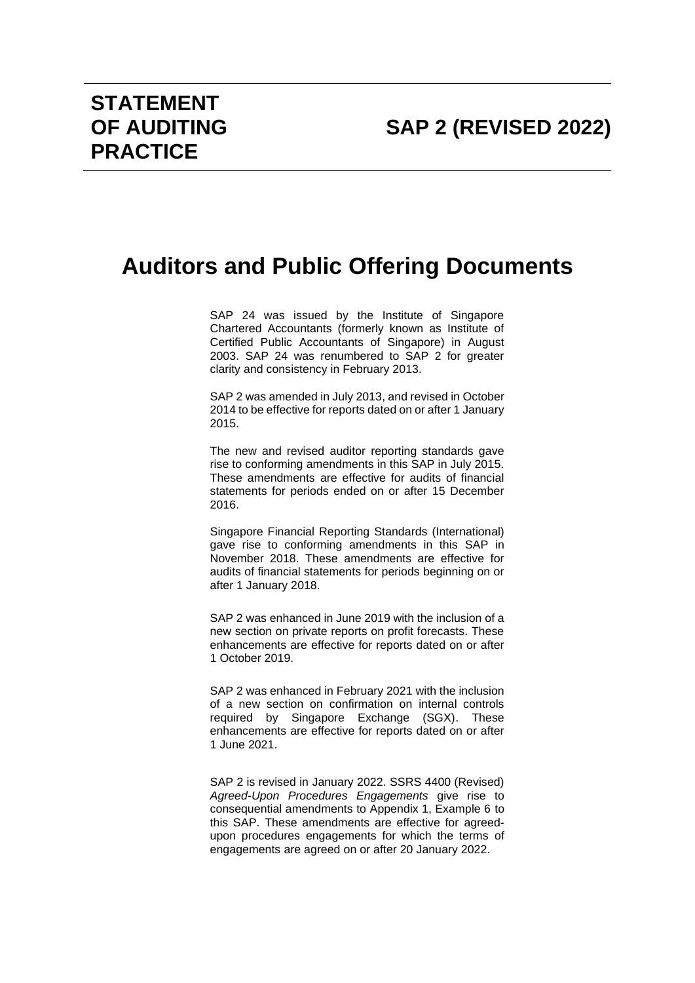## **Auditors and Public Offering Documents**

SAP 24 was issued by the Institute of Singapore Chartered Accountants (formerly known as Institute of Certified Public Accountants of Singapore) in August 2003. SAP 24 was renumbered to SAP 2 for greater clarity and consistency in February 2013.

SAP 2 was amended in July 2013, and revised in October 2014 to be effective for reports dated on or after 1 January 2015.

The new and revised auditor reporting standards gave rise to conforming amendments in this SAP in July 2015. These amendments are effective for audits of financial statements for periods ended on or after 15 December 2016.

Singapore Financial Reporting Standards (International) gave rise to conforming amendments in this SAP in November 2018. These amendments are effective for audits of financial statements for periods beginning on or after 1 January 2018.

SAP 2 was enhanced in June 2019 with the inclusion of a new section on private reports on profit forecasts. These enhancements are effective for reports dated on or after 1 October 2019.

SAP 2 was enhanced in February 2021 with the inclusion of a new section on confirmation on internal controls required by Singapore Exchange (SGX). These enhancements are effective for reports dated on or after 1 June 2021.

SAP 2 is revised in January 2022. SSRS 4400 (Revised) *Agreed-Upon Procedures Engagements* give rise to consequential amendments to Appendix 1, Example 6 to this SAP. These amendments are effective for agreedupon procedures engagements for which the terms of engagements are agreed on or after 20 January 2022.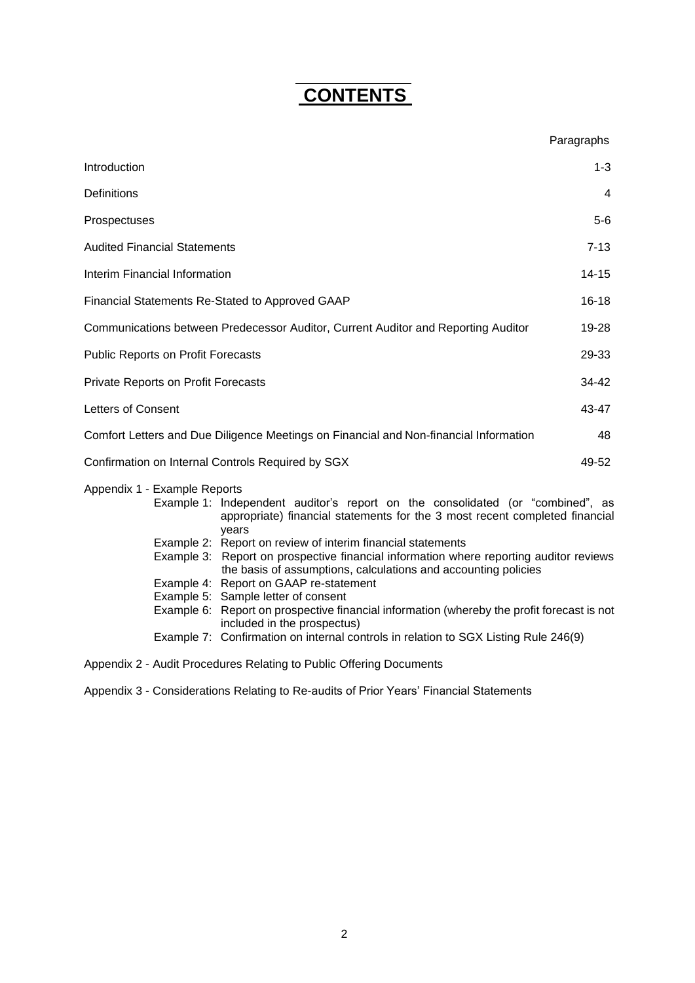# **CONTENTS**

|                                                                                            |                                                                                                                                                                                                                                                                                                                                                                                                                                                                                                                                                                                                                 | Paragraphs |  |
|--------------------------------------------------------------------------------------------|-----------------------------------------------------------------------------------------------------------------------------------------------------------------------------------------------------------------------------------------------------------------------------------------------------------------------------------------------------------------------------------------------------------------------------------------------------------------------------------------------------------------------------------------------------------------------------------------------------------------|------------|--|
| Introduction                                                                               |                                                                                                                                                                                                                                                                                                                                                                                                                                                                                                                                                                                                                 | $1 - 3$    |  |
| Definitions                                                                                |                                                                                                                                                                                                                                                                                                                                                                                                                                                                                                                                                                                                                 | 4          |  |
| Prospectuses                                                                               |                                                                                                                                                                                                                                                                                                                                                                                                                                                                                                                                                                                                                 | $5-6$      |  |
| <b>Audited Financial Statements</b>                                                        |                                                                                                                                                                                                                                                                                                                                                                                                                                                                                                                                                                                                                 |            |  |
| Interim Financial Information                                                              |                                                                                                                                                                                                                                                                                                                                                                                                                                                                                                                                                                                                                 |            |  |
| $16 - 18$<br>Financial Statements Re-Stated to Approved GAAP                               |                                                                                                                                                                                                                                                                                                                                                                                                                                                                                                                                                                                                                 |            |  |
| Communications between Predecessor Auditor, Current Auditor and Reporting Auditor<br>19-28 |                                                                                                                                                                                                                                                                                                                                                                                                                                                                                                                                                                                                                 |            |  |
| <b>Public Reports on Profit Forecasts</b><br>29-33                                         |                                                                                                                                                                                                                                                                                                                                                                                                                                                                                                                                                                                                                 |            |  |
| 34-42<br><b>Private Reports on Profit Forecasts</b>                                        |                                                                                                                                                                                                                                                                                                                                                                                                                                                                                                                                                                                                                 |            |  |
| Letters of Consent                                                                         |                                                                                                                                                                                                                                                                                                                                                                                                                                                                                                                                                                                                                 |            |  |
| Comfort Letters and Due Diligence Meetings on Financial and Non-financial Information      |                                                                                                                                                                                                                                                                                                                                                                                                                                                                                                                                                                                                                 |            |  |
| Confirmation on Internal Controls Required by SGX<br>49-52                                 |                                                                                                                                                                                                                                                                                                                                                                                                                                                                                                                                                                                                                 |            |  |
| Appendix 1 - Example Reports                                                               | Example 1: Independent auditor's report on the consolidated (or "combined", as<br>appropriate) financial statements for the 3 most recent completed financial<br>years<br>Example 2: Report on review of interim financial statements<br>Example 3: Report on prospective financial information where reporting auditor reviews<br>the basis of assumptions, calculations and accounting policies<br>Example 4: Report on GAAP re-statement<br>Example 5: Sample letter of consent<br>Example 6: Report on prospective financial information (whereby the profit forecast is not<br>included in the prospectus) |            |  |
|                                                                                            | Example 7: Confirmation on internal controls in relation to SGX Listing Rule 246(9)                                                                                                                                                                                                                                                                                                                                                                                                                                                                                                                             |            |  |

Appendix 2 - Audit Procedures Relating to Public Offering Documents

Appendix 3 - Considerations Relating to Re-audits of Prior Years' Financial Statements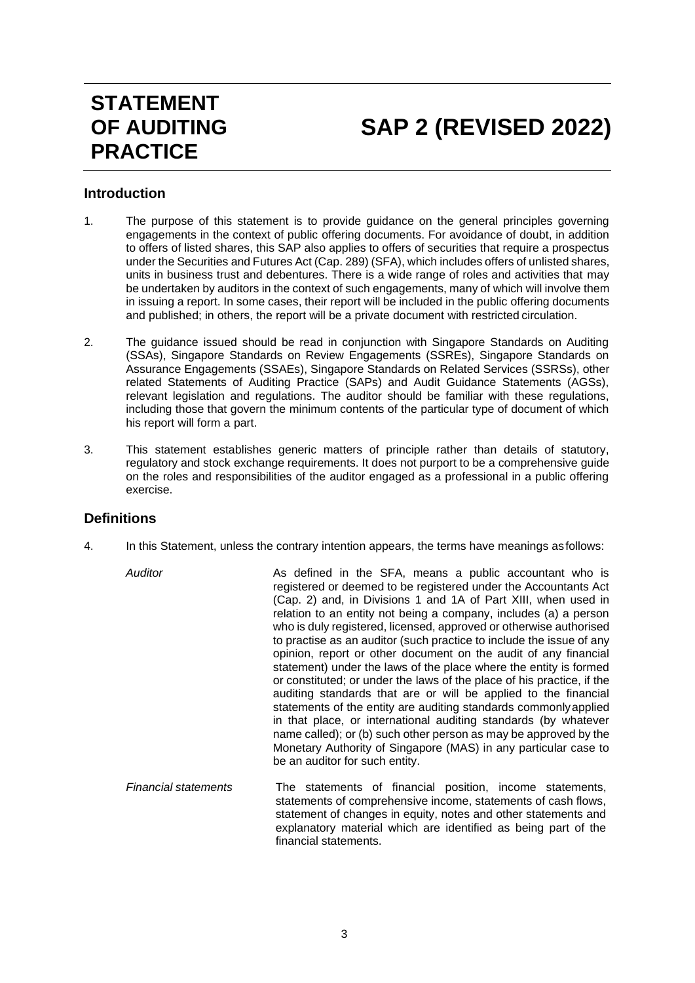# **STATEMENT OF AUDITING PRACTICE**

# **SAP 2 (REVISED 2022)**

## <span id="page-2-0"></span>**Introduction**

- 1. The purpose of this statement is to provide guidance on the general principles governing engagements in the context of public offering documents. For avoidance of doubt, in addition to offers of listed shares, this SAP also applies to offers of securities that require a prospectus under the Securities and Futures Act (Cap. 289) (SFA), which includes offers of unlisted shares, units in business trust and debentures. There is a wide range of roles and activities that may be undertaken by auditors in the context of such engagements, many of which will involve them in issuing a report. In some cases, their report will be included in the public offering documents and published; in others, the report will be a private document with restricted circulation.
- 2. The guidance issued should be read in conjunction with Singapore Standards on Auditing (SSAs), Singapore Standards on Review Engagements (SSREs), Singapore Standards on Assurance Engagements (SSAEs), Singapore Standards on Related Services (SSRSs), other related Statements of Auditing Practice (SAPs) and Audit Guidance Statements (AGSs), relevant legislation and regulations. The auditor should be familiar with these regulations, including those that govern the minimum contents of the particular type of document of which his report will form a part.
- 3. This statement establishes generic matters of principle rather than details of statutory, regulatory and stock exchange requirements. It does not purport to be a comprehensive guide on the roles and responsibilities of the auditor engaged as a professional in a public offering exercise.

## <span id="page-2-1"></span>**Definitions**

- 4. In this Statement, unless the contrary intention appears, the terms have meanings asfollows:
	- *Auditor* As defined in the SFA, means a public accountant who is registered or deemed to be registered under the Accountants Act (Cap. 2) and, in Divisions 1 and 1A of Part XIII, when used in relation to an entity not being a company, includes (a) a person who is duly registered, licensed, approved or otherwise authorised to practise as an auditor (such practice to include the issue of any opinion, report or other document on the audit of any financial statement) under the laws of the place where the entity is formed or constituted; or under the laws of the place of his practice, if the auditing standards that are or will be applied to the financial statements of the entity are auditing standards commonlyapplied in that place, or international auditing standards (by whatever name called); or (b) such other person as may be approved by the Monetary Authority of Singapore (MAS) in any particular case to be an auditor for such entity.
		- *Financial statements* The statements of financial position, income statements, statements of comprehensive income, statements of cash flows, statement of changes in equity, notes and other statements and explanatory material which are identified as being part of the financial statements.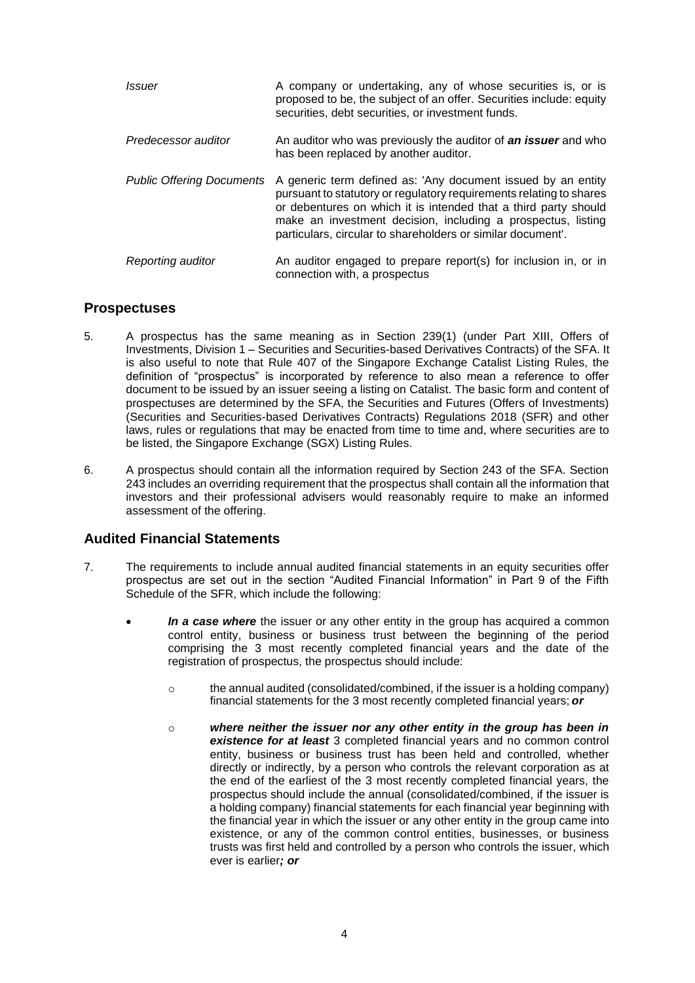| <i>Issuer</i>                    | A company or undertaking, any of whose securities is, or is<br>proposed to be, the subject of an offer. Securities include: equity<br>securities, debt securities, or investment funds.                                                                                                                                              |
|----------------------------------|--------------------------------------------------------------------------------------------------------------------------------------------------------------------------------------------------------------------------------------------------------------------------------------------------------------------------------------|
| Predecessor auditor              | An auditor who was previously the auditor of an issuer and who<br>has been replaced by another auditor.                                                                                                                                                                                                                              |
| <b>Public Offering Documents</b> | A generic term defined as: 'Any document issued by an entity<br>pursuant to statutory or regulatory requirements relating to shares<br>or debentures on which it is intended that a third party should<br>make an investment decision, including a prospectus, listing<br>particulars, circular to shareholders or similar document. |
| Reporting auditor                | An auditor engaged to prepare report(s) for inclusion in, or in<br>connection with, a prospectus                                                                                                                                                                                                                                     |

## <span id="page-3-0"></span>**Prospectuses**

- 5. A prospectus has the same meaning as in Section 239(1) (under Part XIII, Offers of Investments, Division 1 – Securities and Securities-based Derivatives Contracts) of the SFA. It is also useful to note that Rule 407 of the Singapore Exchange Catalist Listing Rules, the definition of "prospectus" is incorporated by reference to also mean a reference to offer document to be issued by an issuer seeing a listing on Catalist. The basic form and content of prospectuses are determined by the SFA, the Securities and Futures (Offers of Investments) (Securities and Securities-based Derivatives Contracts) Regulations 2018 (SFR) and other laws, rules or regulations that may be enacted from time to time and, where securities are to be listed, the Singapore Exchange (SGX) Listing Rules.
- 6. A prospectus should contain all the information required by Section 243 of the SFA. Section 243 includes an overriding requirement that the prospectus shall contain all the information that investors and their professional advisers would reasonably require to make an informed assessment of the offering.

## <span id="page-3-1"></span>**Audited Financial Statements**

- 7. The requirements to include annual audited financial statements in an equity securities offer prospectus are set out in the section "Audited Financial Information" in Part 9 of the Fifth Schedule of the SFR, which include the following:
	- In a case where the issuer or any other entity in the group has acquired a common control entity, business or business trust between the beginning of the period comprising the 3 most recently completed financial years and the date of the registration of prospectus, the prospectus should include:
		- $\circ$  the annual audited (consolidated/combined, if the issuer is a holding company) financial statements for the 3 most recently completed financial years; *or*
		- o *where neither the issuer nor any other entity in the group has been in existence for at least* 3 completed financial years and no common control entity, business or business trust has been held and controlled, whether directly or indirectly, by a person who controls the relevant corporation as at the end of the earliest of the 3 most recently completed financial years, the prospectus should include the annual (consolidated/combined, if the issuer is a holding company) financial statements for each financial year beginning with the financial year in which the issuer or any other entity in the group came into existence, or any of the common control entities, businesses, or business trusts was first held and controlled by a person who controls the issuer, which ever is earlier*; or*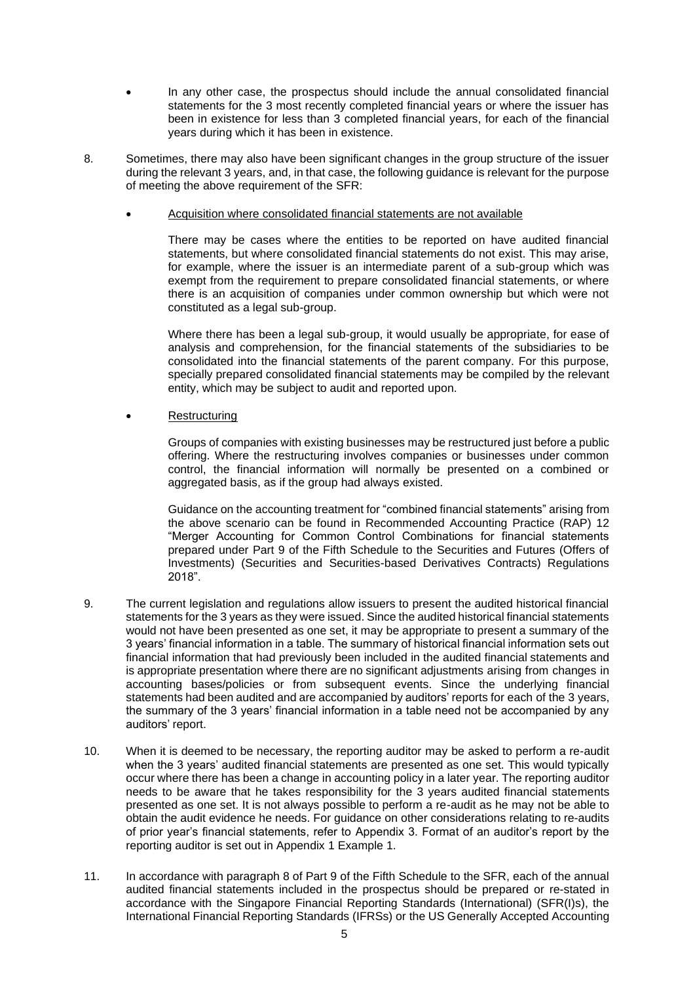- In any other case, the prospectus should include the annual consolidated financial statements for the 3 most recently completed financial years or where the issuer has been in existence for less than 3 completed financial years, for each of the financial years during which it has been in existence.
- 8. Sometimes, there may also have been significant changes in the group structure of the issuer during the relevant 3 years, and, in that case, the following guidance is relevant for the purpose of meeting the above requirement of the SFR:
	- Acquisition where consolidated financial statements are not available

There may be cases where the entities to be reported on have audited financial statements, but where consolidated financial statements do not exist. This may arise, for example, where the issuer is an intermediate parent of a sub-group which was exempt from the requirement to prepare consolidated financial statements, or where there is an acquisition of companies under common ownership but which were not constituted as a legal sub-group.

Where there has been a legal sub-group, it would usually be appropriate, for ease of analysis and comprehension, for the financial statements of the subsidiaries to be consolidated into the financial statements of the parent company. For this purpose, specially prepared consolidated financial statements may be compiled by the relevant entity, which may be subject to audit and reported upon.

**Restructuring** 

Groups of companies with existing businesses may be restructured just before a public offering. Where the restructuring involves companies or businesses under common control, the financial information will normally be presented on a combined or aggregated basis, as if the group had always existed.

Guidance on the accounting treatment for "combined financial statements" arising from the above scenario can be found in Recommended Accounting Practice (RAP) 12 "Merger Accounting for Common Control Combinations for financial statements prepared under Part 9 of the Fifth Schedule to the Securities and Futures (Offers of Investments) (Securities and Securities-based Derivatives Contracts) Regulations 2018".

- 9. The current legislation and regulations allow issuers to present the audited historical financial statements for the 3 years as they were issued. Since the audited historical financial statements would not have been presented as one set, it may be appropriate to present a summary of the 3 years' financial information in a table. The summary of historical financial information sets out financial information that had previously been included in the audited financial statements and is appropriate presentation where there are no significant adjustments arising from changes in accounting bases/policies or from subsequent events. Since the underlying financial statements had been audited and are accompanied by auditors' reports for each of the 3 years, the summary of the 3 years' financial information in a table need not be accompanied by any auditors' report.
- 10. When it is deemed to be necessary, the reporting auditor may be asked to perform a re-audit when the 3 years' audited financial statements are presented as one set. This would typically occur where there has been a change in accounting policy in a later year. The reporting auditor needs to be aware that he takes responsibility for the 3 years audited financial statements presented as one set. It is not always possible to perform a re-audit as he may not be able to obtain the audit evidence he needs. For guidance on other considerations relating to re-audits of prior year's financial statements, refer to Appendix 3. Format of an auditor's report by the reporting auditor is set out in Appendix 1 Example 1.
- 11. In accordance with paragraph 8 of Part 9 of the Fifth Schedule to the SFR, each of the annual audited financial statements included in the prospectus should be prepared or re-stated in accordance with the Singapore Financial Reporting Standards (International) (SFR(I)s), the International Financial Reporting Standards (IFRSs) or the US Generally Accepted Accounting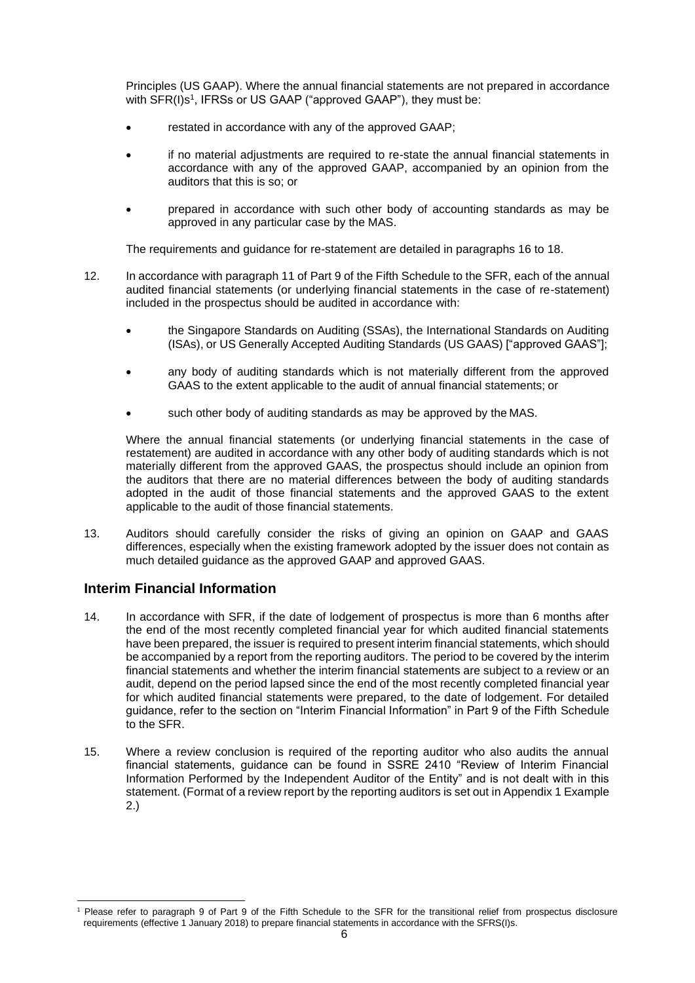Principles (US GAAP). Where the annual financial statements are not prepared in accordance with SFR(I)s<sup>1</sup>, IFRSs or US GAAP ("approved GAAP"), they must be:

- restated in accordance with any of the approved GAAP;
- if no material adjustments are required to re-state the annual financial statements in accordance with any of the approved GAAP, accompanied by an opinion from the auditors that this is so; or
- prepared in accordance with such other body of accounting standards as may be approved in any particular case by the MAS.

The requirements and guidance for re-statement are detailed in paragraphs 16 to 18.

- 12. In accordance with paragraph 11 of Part 9 of the Fifth Schedule to the SFR, each of the annual audited financial statements (or underlying financial statements in the case of re-statement) included in the prospectus should be audited in accordance with:
	- the Singapore Standards on Auditing (SSAs), the International Standards on Auditing (ISAs), or US Generally Accepted Auditing Standards (US GAAS) ["approved GAAS"];
	- any body of auditing standards which is not materially different from the approved GAAS to the extent applicable to the audit of annual financial statements; or
	- such other body of auditing standards as may be approved by the MAS.

Where the annual financial statements (or underlying financial statements in the case of restatement) are audited in accordance with any other body of auditing standards which is not materially different from the approved GAAS, the prospectus should include an opinion from the auditors that there are no material differences between the body of auditing standards adopted in the audit of those financial statements and the approved GAAS to the extent applicable to the audit of those financial statements.

13. Auditors should carefully consider the risks of giving an opinion on GAAP and GAAS differences, especially when the existing framework adopted by the issuer does not contain as much detailed guidance as the approved GAAP and approved GAAS.

## <span id="page-5-0"></span>**Interim Financial Information**

- 14. In accordance with SFR, if the date of lodgement of prospectus is more than 6 months after the end of the most recently completed financial year for which audited financial statements have been prepared, the issuer is required to present interim financial statements, which should be accompanied by a report from the reporting auditors. The period to be covered by the interim financial statements and whether the interim financial statements are subject to a review or an audit, depend on the period lapsed since the end of the most recently completed financial year for which audited financial statements were prepared, to the date of lodgement. For detailed guidance, refer to the section on "Interim Financial Information" in Part 9 of the Fifth Schedule to the SFR.
- 15. Where a review conclusion is required of the reporting auditor who also audits the annual financial statements, guidance can be found in SSRE 2410 "Review of Interim Financial Information Performed by the Independent Auditor of the Entity" and is not dealt with in this statement. (Format of a review report by the reporting auditors is set out in Appendix 1 Example 2.)

Please refer to paragraph 9 of Part 9 of the Fifth Schedule to the SFR for the transitional relief from prospectus disclosure requirements (effective 1 January 2018) to prepare financial statements in accordance with the SFRS(I)s.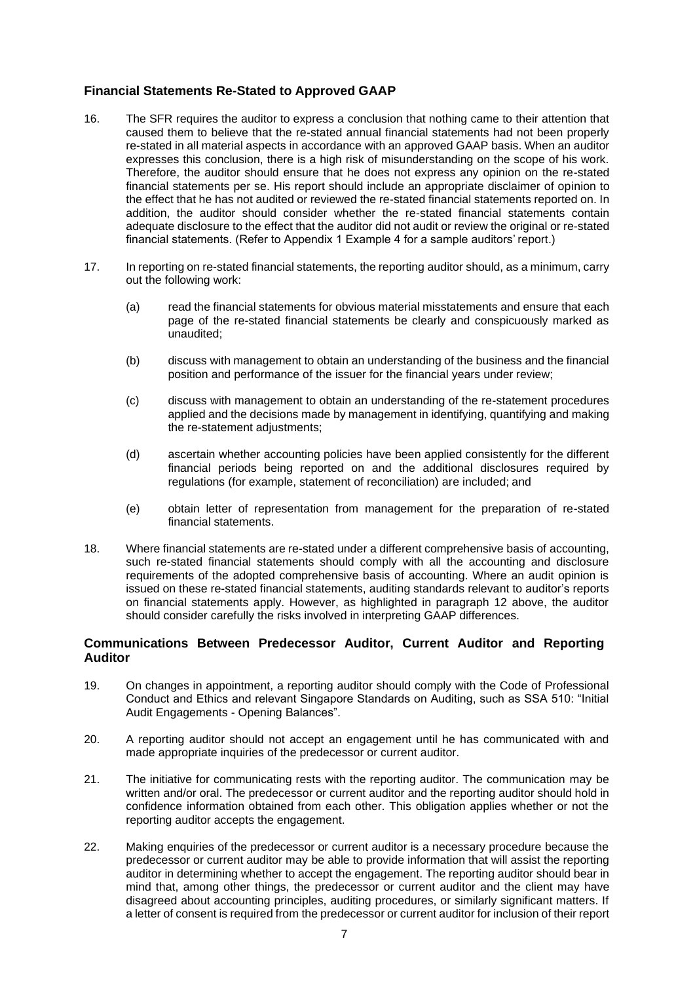## **Financial Statements Re-Stated to Approved GAAP**

- 16. The SFR requires the auditor to express a conclusion that nothing came to their attention that caused them to believe that the re-stated annual financial statements had not been properly re-stated in all material aspects in accordance with an approved GAAP basis. When an auditor expresses this conclusion, there is a high risk of misunderstanding on the scope of his work. Therefore, the auditor should ensure that he does not express any opinion on the re-stated financial statements per se. His report should include an appropriate disclaimer of opinion to the effect that he has not audited or reviewed the re-stated financial statements reported on. In addition, the auditor should consider whether the re-stated financial statements contain adequate disclosure to the effect that the auditor did not audit or review the original or re-stated financial statements. (Refer to Appendix 1 Example 4 for a sample auditors' report.)
- 17. In reporting on re-stated financial statements, the reporting auditor should, as a minimum, carry out the following work:
	- (a) read the financial statements for obvious material misstatements and ensure that each page of the re-stated financial statements be clearly and conspicuously marked as unaudited;
	- (b) discuss with management to obtain an understanding of the business and the financial position and performance of the issuer for the financial years under review;
	- (c) discuss with management to obtain an understanding of the re-statement procedures applied and the decisions made by management in identifying, quantifying and making the re-statement adjustments;
	- (d) ascertain whether accounting policies have been applied consistently for the different financial periods being reported on and the additional disclosures required by regulations (for example, statement of reconciliation) are included; and
	- (e) obtain letter of representation from management for the preparation of re-stated financial statements.
- 18. Where financial statements are re-stated under a different comprehensive basis of accounting, such re-stated financial statements should comply with all the accounting and disclosure requirements of the adopted comprehensive basis of accounting. Where an audit opinion is issued on these re-stated financial statements, auditing standards relevant to auditor's reports on financial statements apply. However, as highlighted in paragraph 12 above, the auditor should consider carefully the risks involved in interpreting GAAP differences.

#### <span id="page-6-0"></span>**Communications Between Predecessor Auditor, Current Auditor and Reporting Auditor**

- 19. On changes in appointment, a reporting auditor should comply with the Code of Professional Conduct and Ethics and relevant Singapore Standards on Auditing, such as SSA 510: "Initial Audit Engagements - Opening Balances".
- 20. A reporting auditor should not accept an engagement until he has communicated with and made appropriate inquiries of the predecessor or current auditor.
- 21. The initiative for communicating rests with the reporting auditor. The communication may be written and/or oral. The predecessor or current auditor and the reporting auditor should hold in confidence information obtained from each other. This obligation applies whether or not the reporting auditor accepts the engagement.
- 22. Making enquiries of the predecessor or current auditor is a necessary procedure because the predecessor or current auditor may be able to provide information that will assist the reporting auditor in determining whether to accept the engagement. The reporting auditor should bear in mind that, among other things, the predecessor or current auditor and the client may have disagreed about accounting principles, auditing procedures, or similarly significant matters. If a letter of consent is required from the predecessor or current auditor for inclusion of their report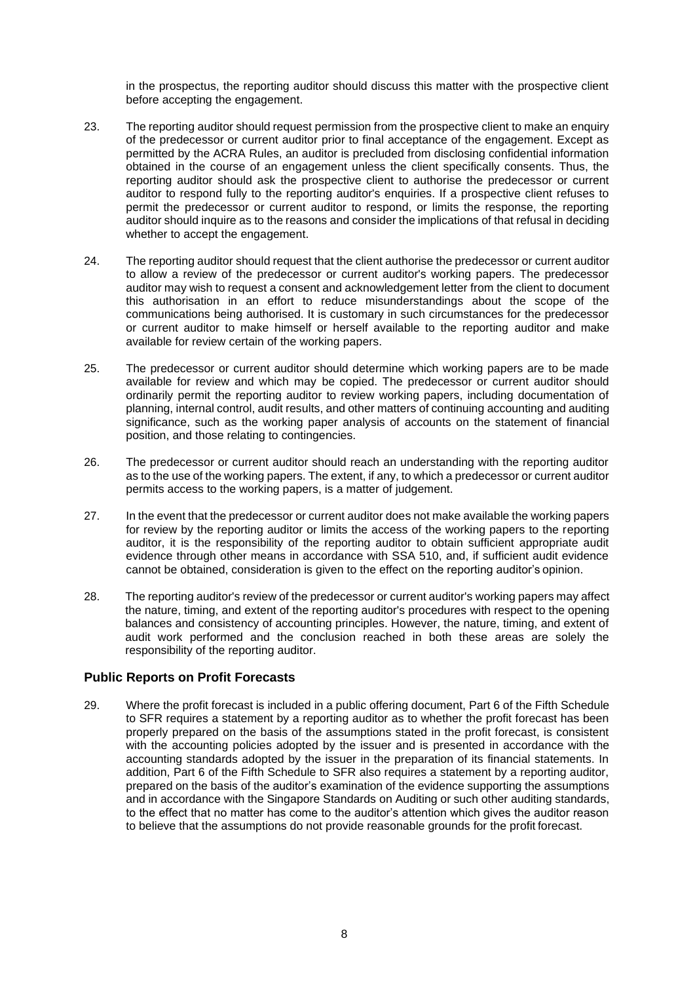in the prospectus, the reporting auditor should discuss this matter with the prospective client before accepting the engagement.

- 23. The reporting auditor should request permission from the prospective client to make an enquiry of the predecessor or current auditor prior to final acceptance of the engagement. Except as permitted by the ACRA Rules, an auditor is precluded from disclosing confidential information obtained in the course of an engagement unless the client specifically consents. Thus, the reporting auditor should ask the prospective client to authorise the predecessor or current auditor to respond fully to the reporting auditor's enquiries. If a prospective client refuses to permit the predecessor or current auditor to respond, or limits the response, the reporting auditor should inquire as to the reasons and consider the implications of that refusal in deciding whether to accept the engagement.
- 24. The reporting auditor should request that the client authorise the predecessor or current auditor to allow a review of the predecessor or current auditor's working papers. The predecessor auditor may wish to request a consent and acknowledgement letter from the client to document this authorisation in an effort to reduce misunderstandings about the scope of the communications being authorised. It is customary in such circumstances for the predecessor or current auditor to make himself or herself available to the reporting auditor and make available for review certain of the working papers.
- 25. The predecessor or current auditor should determine which working papers are to be made available for review and which may be copied. The predecessor or current auditor should ordinarily permit the reporting auditor to review working papers, including documentation of planning, internal control, audit results, and other matters of continuing accounting and auditing significance, such as the working paper analysis of accounts on the statement of financial position, and those relating to contingencies.
- 26. The predecessor or current auditor should reach an understanding with the reporting auditor as to the use of the working papers. The extent, if any, to which a predecessor or current auditor permits access to the working papers, is a matter of judgement.
- 27. In the event that the predecessor or current auditor does not make available the working papers for review by the reporting auditor or limits the access of the working papers to the reporting auditor, it is the responsibility of the reporting auditor to obtain sufficient appropriate audit evidence through other means in accordance with SSA 510, and, if sufficient audit evidence cannot be obtained, consideration is given to the effect on the reporting auditor's opinion.
- 28. The reporting auditor's review of the predecessor or current auditor's working papers may affect the nature, timing, and extent of the reporting auditor's procedures with respect to the opening balances and consistency of accounting principles. However, the nature, timing, and extent of audit work performed and the conclusion reached in both these areas are solely the responsibility of the reporting auditor.

#### <span id="page-7-0"></span>**Public Reports on Profit Forecasts**

29. Where the profit forecast is included in a public offering document, Part 6 of the Fifth Schedule to SFR requires a statement by a reporting auditor as to whether the profit forecast has been properly prepared on the basis of the assumptions stated in the profit forecast, is consistent with the accounting policies adopted by the issuer and is presented in accordance with the accounting standards adopted by the issuer in the preparation of its financial statements. In addition, Part 6 of the Fifth Schedule to SFR also requires a statement by a reporting auditor, prepared on the basis of the auditor's examination of the evidence supporting the assumptions and in accordance with the Singapore Standards on Auditing or such other auditing standards, to the effect that no matter has come to the auditor's attention which gives the auditor reason to believe that the assumptions do not provide reasonable grounds for the profit forecast.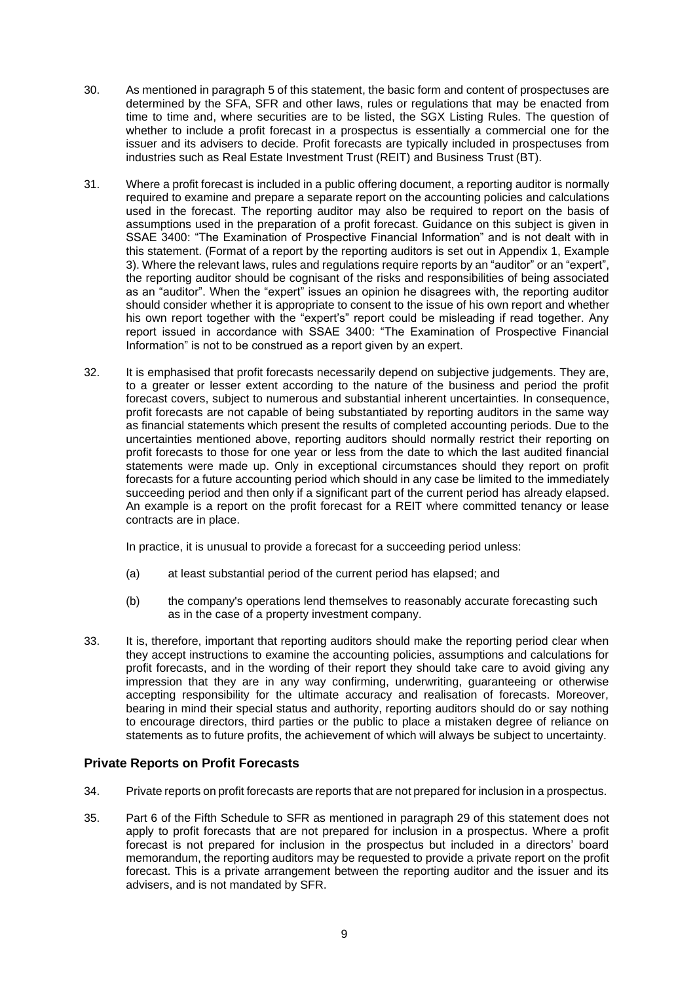- 30. As mentioned in paragraph 5 of this statement, the basic form and content of prospectuses are determined by the SFA, SFR and other laws, rules or regulations that may be enacted from time to time and, where securities are to be listed, the SGX Listing Rules. The question of whether to include a profit forecast in a prospectus is essentially a commercial one for the issuer and its advisers to decide. Profit forecasts are typically included in prospectuses from industries such as Real Estate Investment Trust (REIT) and Business Trust (BT).
- 31. Where a profit forecast is included in a public offering document, a reporting auditor is normally required to examine and prepare a separate report on the accounting policies and calculations used in the forecast. The reporting auditor may also be required to report on the basis of assumptions used in the preparation of a profit forecast. Guidance on this subject is given in SSAE 3400: "The Examination of Prospective Financial Information" and is not dealt with in this statement. (Format of a report by the reporting auditors is set out in Appendix 1, Example 3). Where the relevant laws, rules and regulations require reports by an "auditor" or an "expert", the reporting auditor should be cognisant of the risks and responsibilities of being associated as an "auditor". When the "expert" issues an opinion he disagrees with, the reporting auditor should consider whether it is appropriate to consent to the issue of his own report and whether his own report together with the "expert's" report could be misleading if read together. Any report issued in accordance with SSAE 3400: "The Examination of Prospective Financial Information" is not to be construed as a report given by an expert.
- 32. It is emphasised that profit forecasts necessarily depend on subjective judgements. They are, to a greater or lesser extent according to the nature of the business and period the profit forecast covers, subject to numerous and substantial inherent uncertainties. In consequence, profit forecasts are not capable of being substantiated by reporting auditors in the same way as financial statements which present the results of completed accounting periods. Due to the uncertainties mentioned above, reporting auditors should normally restrict their reporting on profit forecasts to those for one year or less from the date to which the last audited financial statements were made up. Only in exceptional circumstances should they report on profit forecasts for a future accounting period which should in any case be limited to the immediately succeeding period and then only if a significant part of the current period has already elapsed. An example is a report on the profit forecast for a REIT where committed tenancy or lease contracts are in place.

In practice, it is unusual to provide a forecast for a succeeding period unless:

- (a) at least substantial period of the current period has elapsed; and
- (b) the company's operations lend themselves to reasonably accurate forecasting such as in the case of a property investment company.
- 33. It is, therefore, important that reporting auditors should make the reporting period clear when they accept instructions to examine the accounting policies, assumptions and calculations for profit forecasts, and in the wording of their report they should take care to avoid giving any impression that they are in any way confirming, underwriting, guaranteeing or otherwise accepting responsibility for the ultimate accuracy and realisation of forecasts. Moreover, bearing in mind their special status and authority, reporting auditors should do or say nothing to encourage directors, third parties or the public to place a mistaken degree of reliance on statements as to future profits, the achievement of which will always be subject to uncertainty.

#### <span id="page-8-0"></span>**Private Reports on Profit Forecasts**

- 34. Private reports on profit forecasts are reports that are not prepared for inclusion in a prospectus.
- 35. Part 6 of the Fifth Schedule to SFR as mentioned in paragraph 29 of this statement does not apply to profit forecasts that are not prepared for inclusion in a prospectus. Where a profit forecast is not prepared for inclusion in the prospectus but included in a directors' board memorandum, the reporting auditors may be requested to provide a private report on the profit forecast. This is a private arrangement between the reporting auditor and the issuer and its advisers, and is not mandated by SFR.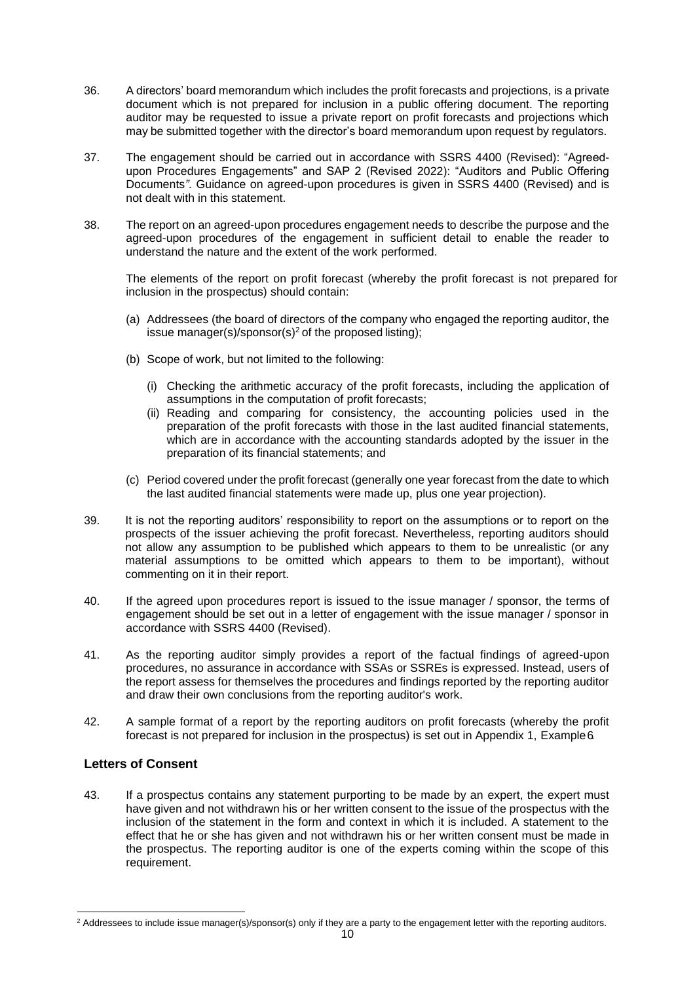- 36. A directors' board memorandum which includes the profit forecasts and projections, is a private document which is not prepared for inclusion in a public offering document. The reporting auditor may be requested to issue a private report on profit forecasts and projections which may be submitted together with the director's board memorandum upon request by regulators.
- 37. The engagement should be carried out in accordance with SSRS 4400 (Revised): "Agreedupon Procedures Engagements" and SAP 2 (Revised 2022): "Auditors and Public Offering Documents*".* Guidance on agreed-upon procedures is given in SSRS 4400 (Revised) and is not dealt with in this statement.
- 38. The report on an agreed-upon procedures engagement needs to describe the purpose and the agreed-upon procedures of the engagement in sufficient detail to enable the reader to understand the nature and the extent of the work performed.

The elements of the report on profit forecast (whereby the profit forecast is not prepared for inclusion in the prospectus) should contain:

- (a) Addressees (the board of directors of the company who engaged the reporting auditor, the issue manager(s)/sponsor(s)<sup>2</sup> of the proposed listing);
- (b) Scope of work, but not limited to the following:
	- (i) Checking the arithmetic accuracy of the profit forecasts, including the application of assumptions in the computation of profit forecasts;
	- (ii) Reading and comparing for consistency, the accounting policies used in the preparation of the profit forecasts with those in the last audited financial statements, which are in accordance with the accounting standards adopted by the issuer in the preparation of its financial statements; and
- (c) Period covered under the profit forecast (generally one year forecast from the date to which the last audited financial statements were made up, plus one year projection).
- 39. It is not the reporting auditors' responsibility to report on the assumptions or to report on the prospects of the issuer achieving the profit forecast. Nevertheless, reporting auditors should not allow any assumption to be published which appears to them to be unrealistic (or any material assumptions to be omitted which appears to them to be important), without commenting on it in their report.
- 40. If the agreed upon procedures report is issued to the issue manager / sponsor, the terms of engagement should be set out in a letter of engagement with the issue manager / sponsor in accordance with SSRS 4400 (Revised).
- 41. As the reporting auditor simply provides a report of the factual findings of agreed-upon procedures, no assurance in accordance with SSAs or SSREs is expressed. Instead, users of the report assess for themselves the procedures and findings reported by the reporting auditor and draw their own conclusions from the reporting auditor's work.
- 42. A sample format of a report by the reporting auditors on profit forecasts (whereby the profit forecast is not prepared for inclusion in the prospectus) is set out in Appendix 1, Example6.

#### <span id="page-9-0"></span>**Letters of Consent**

43. If a prospectus contains any statement purporting to be made by an expert, the expert must have given and not withdrawn his or her written consent to the issue of the prospectus with the inclusion of the statement in the form and context in which it is included. A statement to the effect that he or she has given and not withdrawn his or her written consent must be made in the prospectus. The reporting auditor is one of the experts coming within the scope of this requirement.

<sup>&</sup>lt;sup>2</sup> Addressees to include issue manager(s)/sponsor(s) only if they are a party to the engagement letter with the reporting auditors.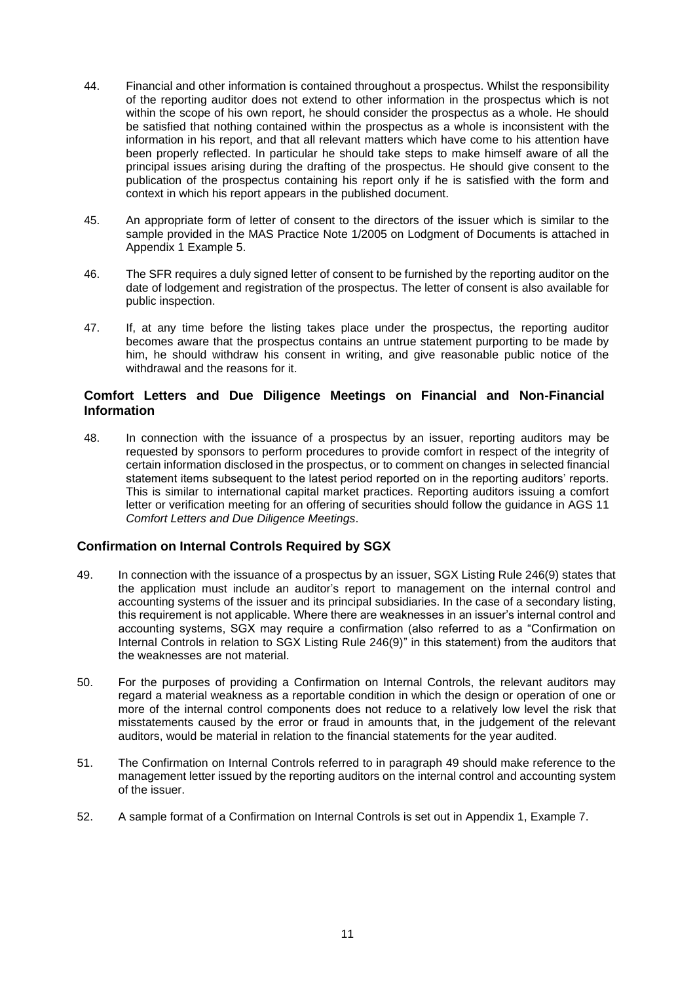- 44. Financial and other information is contained throughout a prospectus. Whilst the responsibility of the reporting auditor does not extend to other information in the prospectus which is not within the scope of his own report, he should consider the prospectus as a whole. He should be satisfied that nothing contained within the prospectus as a whole is inconsistent with the information in his report, and that all relevant matters which have come to his attention have been properly reflected. In particular he should take steps to make himself aware of all the principal issues arising during the drafting of the prospectus. He should give consent to the publication of the prospectus containing his report only if he is satisfied with the form and context in which his report appears in the published document.
- 45. An appropriate form of letter of consent to the directors of the issuer which is similar to the sample provided in the MAS Practice Note 1/2005 on Lodgment of Documents is attached in Appendix 1 Example 5.
- 46. The SFR requires a duly signed letter of consent to be furnished by the reporting auditor on the date of lodgement and registration of the prospectus. The letter of consent is also available for public inspection.
- 47. If, at any time before the listing takes place under the prospectus, the reporting auditor becomes aware that the prospectus contains an untrue statement purporting to be made by him, he should withdraw his consent in writing, and give reasonable public notice of the withdrawal and the reasons for it.

#### <span id="page-10-0"></span>**Comfort Letters and Due Diligence Meetings on Financial and Non-Financial Information**

48. In connection with the issuance of a prospectus by an issuer, reporting auditors may be requested by sponsors to perform procedures to provide comfort in respect of the integrity of certain information disclosed in the prospectus, or to comment on changes in selected financial statement items subsequent to the latest period reported on in the reporting auditors' reports. This is similar to international capital market practices. Reporting auditors issuing a comfort letter or verification meeting for an offering of securities should follow the guidance in AGS 11 *Comfort Letters and Due Diligence Meetings*.

## **Confirmation on Internal Controls Required by SGX**

- 49. In connection with the issuance of a prospectus by an issuer, SGX Listing Rule 246(9) states that the application must include an auditor's report to management on the internal control and accounting systems of the issuer and its principal subsidiaries. In the case of a secondary listing, this requirement is not applicable. Where there are weaknesses in an issuer's internal control and accounting systems, SGX may require a confirmation (also referred to as a "Confirmation on Internal Controls in relation to SGX Listing Rule 246(9)" in this statement) from the auditors that the weaknesses are not material.
- 50. For the purposes of providing a Confirmation on Internal Controls, the relevant auditors may regard a material weakness as a reportable condition in which the design or operation of one or more of the internal control components does not reduce to a relatively low level the risk that misstatements caused by the error or fraud in amounts that, in the judgement of the relevant auditors, would be material in relation to the financial statements for the year audited.
- 51. The Confirmation on Internal Controls referred to in paragraph 49 should make reference to the management letter issued by the reporting auditors on the internal control and accounting system of the issuer.
- 52. A sample format of a Confirmation on Internal Controls is set out in Appendix 1, Example 7.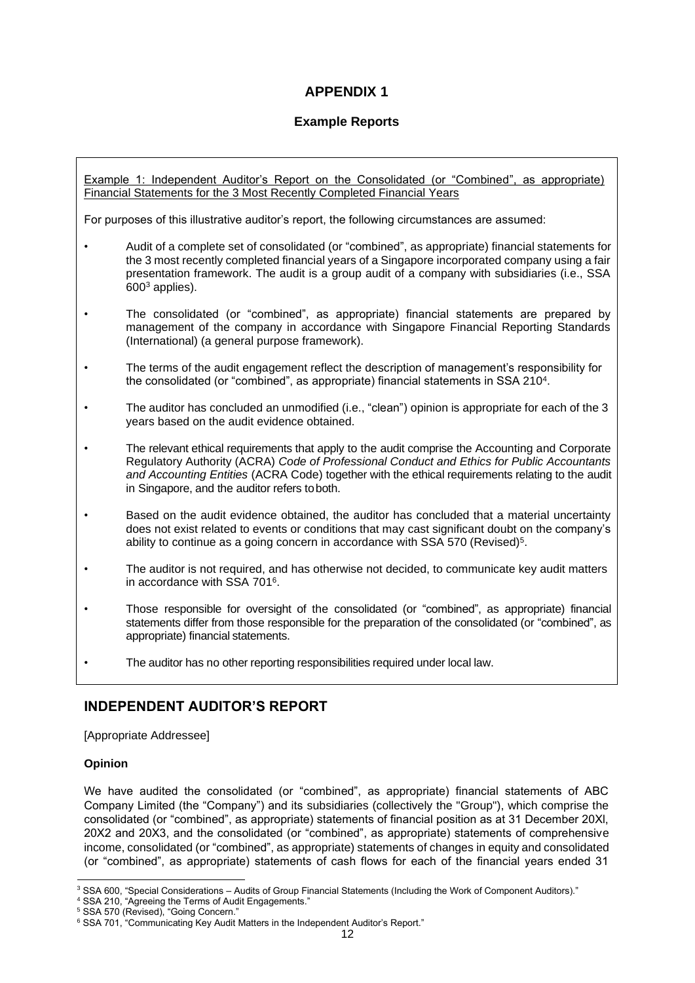## **APPENDIX 1**

## **Example Reports**

Example 1: Independent Auditor's Report on the Consolidated (or "Combined", as appropriate) Financial Statements for the 3 Most Recently Completed Financial Years

For purposes of this illustrative auditor's report, the following circumstances are assumed:

- Audit of a complete set of consolidated (or "combined", as appropriate) financial statements for the 3 most recently completed financial years of a Singapore incorporated company using a fair presentation framework. The audit is a group audit of a company with subsidiaries (i.e., SSA 600<sup>3</sup> applies).
- The consolidated (or "combined", as appropriate) financial statements are prepared by management of the company in accordance with Singapore Financial Reporting Standards (International) (a general purpose framework).
- The terms of the audit engagement reflect the description of management's responsibility for the consolidated (or "combined", as appropriate) financial statements in SSA 210<sup>4</sup> .
- The auditor has concluded an unmodified (i.e., "clean") opinion is appropriate for each of the 3 years based on the audit evidence obtained.
- The relevant ethical requirements that apply to the audit comprise the Accounting and Corporate Regulatory Authority (ACRA) *Code of Professional Conduct and Ethics for Public Accountants and Accounting Entities* (ACRA Code) together with the ethical requirements relating to the audit in Singapore, and the auditor refers toboth.
- Based on the audit evidence obtained, the auditor has concluded that a material uncertainty does not exist related to events or conditions that may cast significant doubt on the company's ability to continue as a going concern in accordance with SSA 570 (Revised)<sup>5</sup>.
- The auditor is not required, and has otherwise not decided, to communicate key audit matters in accordance with SSA 701<sup>6</sup> .
- Those responsible for oversight of the consolidated (or "combined", as appropriate) financial statements differ from those responsible for the preparation of the consolidated (or "combined", as appropriate) financial statements.
- The auditor has no other reporting responsibilities required under local law.

## **INDEPENDENT AUDITOR'S REPORT**

[Appropriate Addressee]

#### **Opinion**

We have audited the consolidated (or "combined", as appropriate) financial statements of ABC Company Limited (the "Company") and its subsidiaries (collectively the "Group"), which comprise the consolidated (or "combined", as appropriate) statements of financial position as at 31 December 20Xl, 20X2 and 20X3, and the consolidated (or "combined", as appropriate) statements of comprehensive income, consolidated (or "combined", as appropriate) statements of changes in equity and consolidated (or "combined", as appropriate) statements of cash flows for each of the financial years ended 31

<sup>&</sup>lt;sup>3</sup> SSA 600, "Special Considerations – Audits of Group Financial Statements (Including the Work of Component Auditors)."

<sup>4</sup> SSA 210, "Agreeing the Terms of Audit Engagements."

<sup>5</sup> SSA 570 (Revised), "Going Concern."

<sup>&</sup>lt;sup>6</sup> SSA 701, "Communicating Key Audit Matters in the Independent Auditor's Report."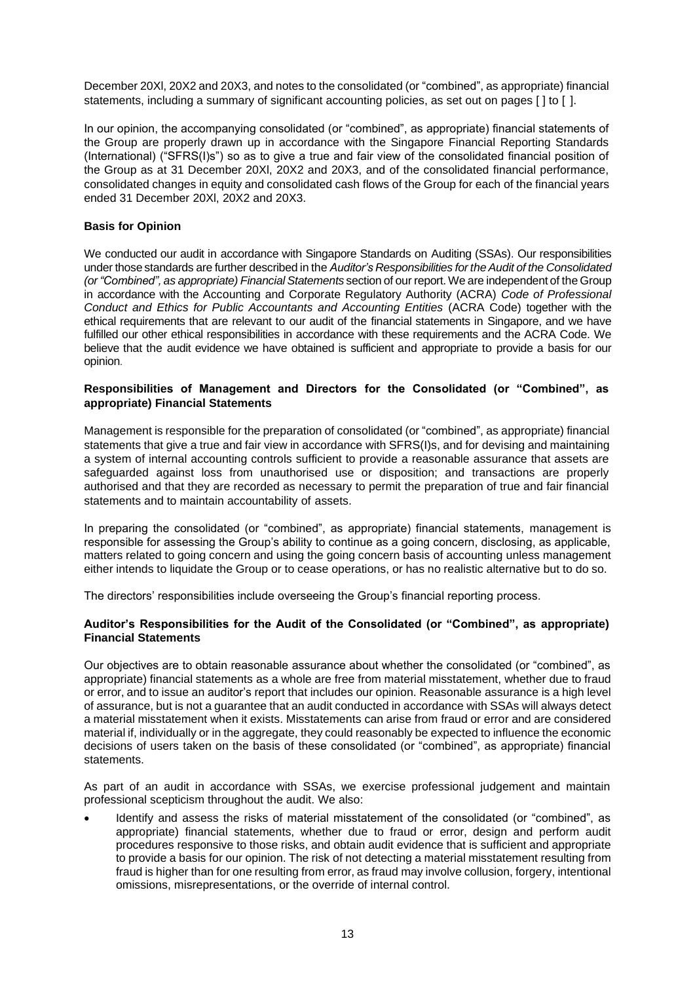December 20Xl, 20X2 and 20X3, and notes to the consolidated (or "combined", as appropriate) financial statements, including a summary of significant accounting policies, as set out on pages [ ] to [ ].

In our opinion, the accompanying consolidated (or "combined", as appropriate) financial statements of the Group are properly drawn up in accordance with the Singapore Financial Reporting Standards (International) ("SFRS(I)s") so as to give a true and fair view of the consolidated financial position of the Group as at 31 December 20Xl, 20X2 and 20X3, and of the consolidated financial performance, consolidated changes in equity and consolidated cash flows of the Group for each of the financial years ended 31 December 20Xl, 20X2 and 20X3.

#### **Basis for Opinion**

We conducted our audit in accordance with Singapore Standards on Auditing (SSAs). Our responsibilities under those standards are further described in the *Auditor's Responsibilities for theAudit of the Consolidated (or"Combined", as appropriate) Financial Statements* section of our report.We are independent of the Group in accordance with the Accounting and Corporate Regulatory Authority (ACRA) *Code of Professional Conduct and Ethics for Public Accountants and Accounting Entities* (ACRA Code) together with the ethical requirements that are relevant to our audit of the financial statements in Singapore, and we have fulfilled our other ethical responsibilities in accordance with these requirements and the ACRA Code. We believe that the audit evidence we have obtained is sufficient and appropriate to provide a basis for our opinion.

#### **Responsibilities of Management and Directors for the Consolidated (or "Combined", as appropriate) Financial Statements**

Management is responsible for the preparation of consolidated (or "combined", as appropriate) financial statements that give a true and fair view in accordance with SFRS(I)s, and for devising and maintaining a system of internal accounting controls sufficient to provide a reasonable assurance that assets are safeguarded against loss from unauthorised use or disposition; and transactions are properly authorised and that they are recorded as necessary to permit the preparation of true and fair financial statements and to maintain accountability of assets.

In preparing the consolidated (or "combined", as appropriate) financial statements, management is responsible for assessing the Group's ability to continue as a going concern, disclosing, as applicable, matters related to going concern and using the going concern basis of accounting unless management either intends to liquidate the Group or to cease operations, or has no realistic alternative but to do so.

The directors' responsibilities include overseeing the Group's financial reporting process.

#### **Auditor's Responsibilities for the Audit of the Consolidated (or "Combined", as appropriate) Financial Statements**

Our objectives are to obtain reasonable assurance about whether the consolidated (or "combined", as appropriate) financial statements as a whole are free from material misstatement, whether due to fraud or error, and to issue an auditor's report that includes our opinion. Reasonable assurance is a high level of assurance, but is not a guarantee that an audit conducted in accordance with SSAs will always detect a material misstatement when it exists. Misstatements can arise from fraud or error and are considered material if, individually or in the aggregate, they could reasonably be expected to influence the economic decisions of users taken on the basis of these consolidated (or "combined", as appropriate) financial statements.

As part of an audit in accordance with SSAs, we exercise professional judgement and maintain professional scepticism throughout the audit. We also:

• Identify and assess the risks of material misstatement of the consolidated (or "combined", as appropriate) financial statements, whether due to fraud or error, design and perform audit procedures responsive to those risks, and obtain audit evidence that is sufficient and appropriate to provide a basis for our opinion. The risk of not detecting a material misstatement resulting from fraud is higher than for one resulting from error, as fraud may involve collusion, forgery, intentional omissions, misrepresentations, or the override of internal control.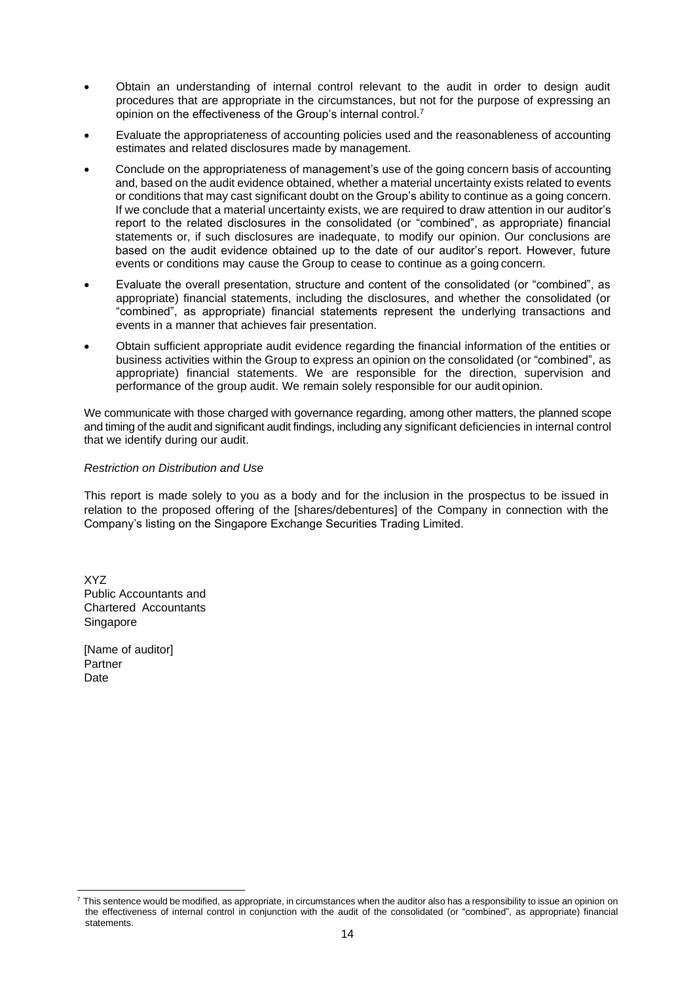- Obtain an understanding of internal control relevant to the audit in order to design audit procedures that are appropriate in the circumstances, but not for the purpose of expressing an opinion on the effectiveness of the Group's internal control.<sup>7</sup>
- Evaluate the appropriateness of accounting policies used and the reasonableness of accounting estimates and related disclosures made by management.
- Conclude on the appropriateness of management's use of the going concern basis of accounting and, based on the audit evidence obtained, whether a material uncertainty exists related to events or conditions that may cast significant doubt on the Group's ability to continue as a going concern. If we conclude that a material uncertainty exists, we are required to draw attention in our auditor's report to the related disclosures in the consolidated (or "combined", as appropriate) financial statements or, if such disclosures are inadequate, to modify our opinion. Our conclusions are based on the audit evidence obtained up to the date of our auditor's report. However, future events or conditions may cause the Group to cease to continue as a going concern.
- Evaluate the overall presentation, structure and content of the consolidated (or "combined", as appropriate) financial statements, including the disclosures, and whether the consolidated (or "combined", as appropriate) financial statements represent the underlying transactions and events in a manner that achieves fair presentation.
- Obtain sufficient appropriate audit evidence regarding the financial information of the entities or business activities within the Group to express an opinion on the consolidated (or "combined", as appropriate) financial statements. We are responsible for the direction, supervision and performance of the group audit. We remain solely responsible for our audit opinion.

We communicate with those charged with governance regarding, among other matters, the planned scope and timing of the audit and significant audit findings, including any significant deficiencies in internal control that we identify during our audit.

#### *Restriction on Distribution and Use*

This report is made solely to you as a body and for the inclusion in the prospectus to be issued in relation to the proposed offering of the [shares/debentures] of the Company in connection with the Company's listing on the Singapore Exchange Securities Trading Limited.

XYZ Public Accountants and Chartered Accountants Singapore

 $<sup>7</sup>$  This sentence would be modified, as appropriate, in circumstances when the auditor also has a responsibility to issue an opinion on</sup> the effectiveness of internal control in conjunction with the audit of the consolidated (or "combined", as appropriate) financial statements.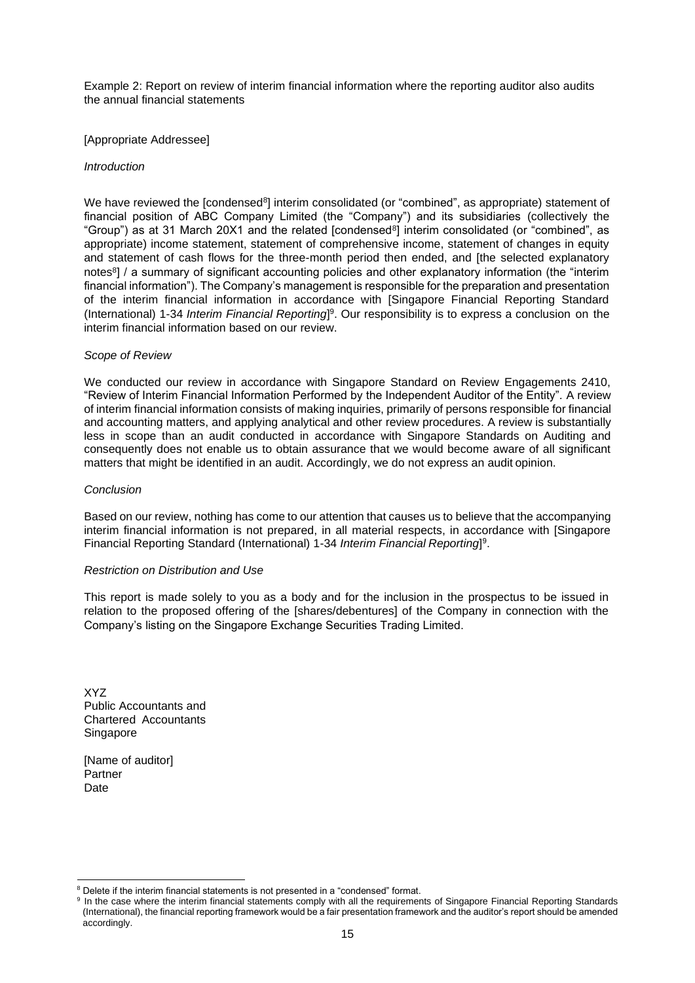Example 2: Report on review of interim financial information where the reporting auditor also audits the annual financial statements

#### [Appropriate Addressee]

#### *Introduction*

We have reviewed the [condensed8] interim consolidated (or "combined", as appropriate) statement of financial position of ABC Company Limited (the "Company") and its subsidiaries (collectively the "Group") as at 31 March 20X1 and the related [condensed $^8$ ] interim consolidated (or "combined", as appropriate) income statement, statement of comprehensive income, statement of changes in equity and statement of cash flows for the three-month period then ended, and [the selected explanatory notes<sup>8</sup>] / a summary of significant accounting policies and other explanatory information (the "interim financial information"). The Company's management is responsible for the preparation and presentation of the interim financial information in accordance with [Singapore Financial Reporting Standard (International) 1-34 *Interim Financial Reporting*[\]](#page-14-0) 9 . Our responsibility is to express a conclusion on the interim financial information based on our review.

#### *Scope of Review*

We conducted our review in accordance with Singapore Standard on Review Engagements 2410, "Review of Interim Financial Information Performed by the Independent Auditor of the Entity"*.* A review of interim financial information consists of making inquiries, primarily of persons responsible for financial and accounting matters, and applying analytical and other review procedures. A review is substantially less in scope than an audit conducted in accordance with Singapore Standards on Auditing and consequently does not enable us to obtain assurance that we would become aware of all significant matters that might be identified in an audit. Accordingly, we do not express an audit opinion.

#### *Conclusion*

Based on our review, nothing has come to our attention that causes us to believe that the accompanying interim financial information is not prepared, in all material respects, in accordance with [Singapore Financial Reporting Standard (International) 1-34 *Interim Financial Reporting*] 9 .

#### *Restriction on Distribution and Use*

This report is made solely to you as a body and for the inclusion in the prospectus to be issued in relation to the proposed offering of the [shares/debentures] of the Company in connection with the Company's listing on the Singapore Exchange Securities Trading Limited.

XYZ Public Accountants and Chartered Accountants Singapore

<span id="page-14-0"></span><sup>&</sup>lt;sup>8</sup> Delete if the interim financial statements is not presented in a "condensed" format.

<sup>&</sup>lt;sup>9</sup> In the case where the interim financial statements comply with all the requirements of Singapore Financial Reporting Standards (International), the financial reporting framework would be a fair presentation framework and the auditor's report should be amended accordingly.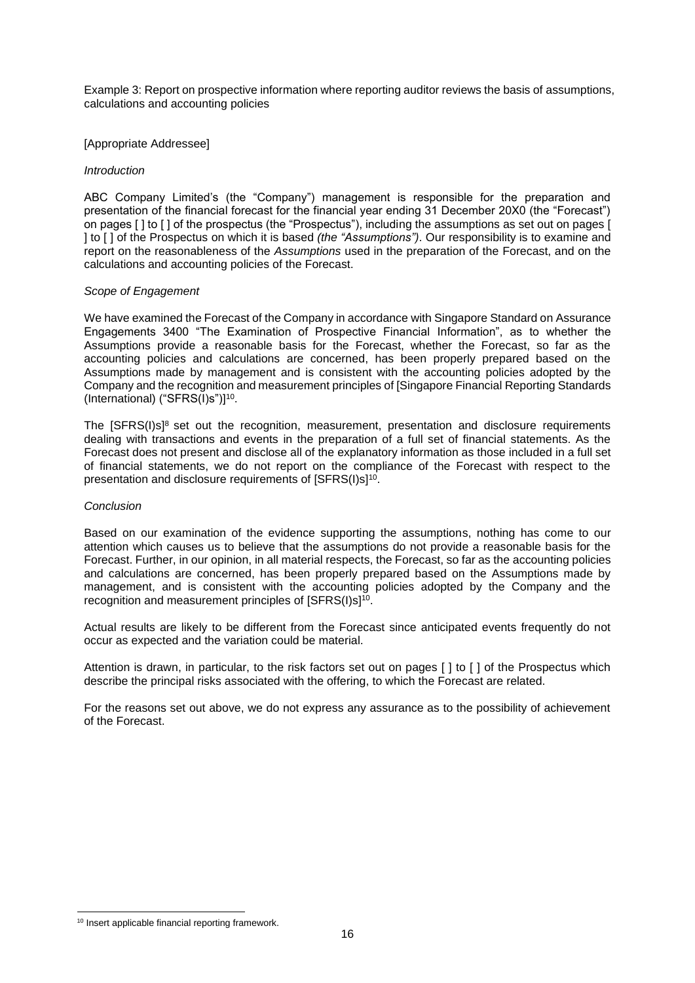Example 3: Report on prospective information where reporting auditor reviews the basis of assumptions, calculations and accounting policies

#### [Appropriate Addressee]

#### *Introduction*

ABC Company Limited's (the "Company") management is responsible for the preparation and presentation of the financial forecast for the financial year ending 31 December 20X0 (the "Forecast") on pages [ ] to [ ] of the prospectus (the "Prospectus"), including the assumptions as set out on pages [ ] to [ ] of the Prospectus on which it is based *(the "Assumptions")*. Our responsibility is to examine and report on the reasonableness of the *Assumptions* used in the preparation of the Forecast, and on the calculations and accounting policies of the Forecast.

#### *Scope of Engagement*

We have examined the Forecast of the Company in accordance with Singapore Standard on Assurance Engagements 3400 "The Examination of Prospective Financial Information", as to whether the Assumptions provide a reasonable basis for the Forecast, whether the Forecast, so far as the accounting policies and calculations are concerned, has been properly prepared based on the Assumptions made by management and is consistent with the accounting policies adopted by the Company and the recognition and measurement principles of [Singapore Financial Reporting Standards (International) ("SFRS(I)s")]<sup>10</sup> .

The  $[SFRS(I)]^8$  set out the recognition, measurement, presentation and disclosure requirements dealing with transactions and events in the preparation of a full set of financial statements. As the Forecast does not present and disclose all of the explanatory information as those included in a full set of financial statements, we do not report on the compliance of the Forecast with respect to the presentation and disclosure requirements of  ${\sf (SFRS(I)s]^{10}.}$ 

#### *Conclusion*

Based on our examination of the evidence supporting the assumptions, nothing has come to our attention which causes us to believe that the assumptions do not provide a reasonable basis for the Forecast. Further, in our opinion, in all material respects, the Forecast, so far as the accounting policies and calculations are concerned, has been properly prepared based on the Assumptions made by management, and is consistent with the accounting policies adopted by the Company and the recognition and measurement principles of [SFRS(I)s]<sup>10</sup>.

Actual results are likely to be different from the Forecast since anticipated events frequently do not occur as expected and the variation could be material.

Attention is drawn, in particular, to the risk factors set out on pages [ ] to [ ] of the Prospectus which describe the principal risks associated with the offering, to which the Forecast are related.

For the reasons set out above, we do not express any assurance as to the possibility of achievement of the Forecast.

<sup>&</sup>lt;sup>10</sup> Insert applicable financial reporting framework.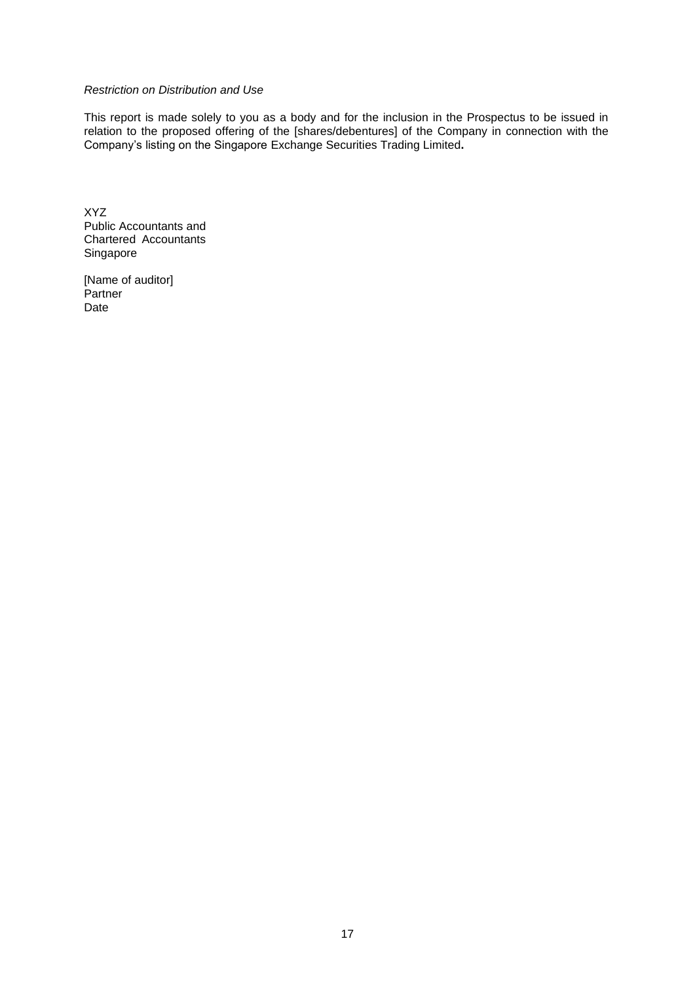#### *Restriction on Distribution and Use*

This report is made solely to you as a body and for the inclusion in the Prospectus to be issued in relation to the proposed offering of the [shares/debentures] of the Company in connection with the Company's listing on the Singapore Exchange Securities Trading Limited**.**

XYZ Public Accountants and Chartered Accountants Singapore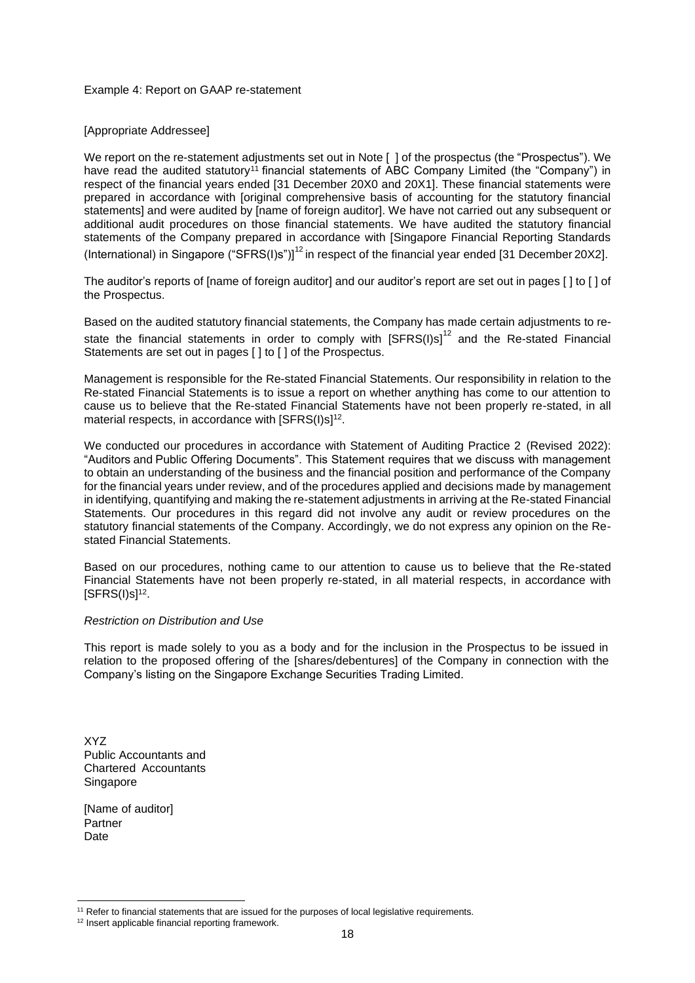#### Example 4: Report on GAAP re-statement

#### [Appropriate Addressee]

We report on the re-statement adjustments set out in Note [] of the prospectus (the "Prospectus"). We have read the audited statutory<sup>11</sup> financial statements of ABC Company Limited (the "Company") in respect of the financial years ended [31 December 20X0 and 20X1]. These financial statements were prepared in accordance with [original comprehensive basis of accounting for the statutory financial statements] and were audited by [name of foreign auditor]. We have not carried out any subsequent or additional audit procedures on those financial statements. We have audited the statutory financial statements of the Company prepared in accordance with [Singapore Financial Reporting Standards (International) in Singapore ("SFRS(I)s")]<sup>[12](#page-17-0)</sup> in respect of the financial year ended [31 December 20X2].

The auditor's reports of [name of foreign auditor] and our auditor's report are set out in pages [] to [] of the Prospectus.

Based on the audited statutory financial statements, the Company has made certain adjustments to restate the financial statements in order to comply with  $[SFRS(I)s]^{12}$  and the Re-stated Financial Statements are set out in pages [ ] to [ ] of the Prospectus.

Management is responsible for the Re-stated Financial Statements. Our responsibility in relation to the Re-stated Financial Statements is to issue a report on whether anything has come to our attention to cause us to believe that the Re-stated Financial Statements have not been properly re-stated, in all material respects, in accordance with [SFRS(I)s]<sup>12</sup>.

We conducted our procedures in accordance with Statement of Auditing Practice 2 (Revised 2022): "Auditors and Public Offering Documents". This Statement requires that we discuss with management to obtain an understanding of the business and the financial position and performance of the Company for the financial years under review, and of the procedures applied and decisions made by management in identifying, quantifying and making the re-statement adjustments in arriving at the Re-stated Financial Statements. Our procedures in this regard did not involve any audit or review procedures on the statutory financial statements of the Company. Accordingly, we do not express any opinion on the Restated Financial Statements.

Based on our procedures, nothing came to our attention to cause us to believe that the Re-stated Financial Statements have not been properly re-stated, in all material respects, in accordance with [SFRS(I)s]<sup>12</sup> .

#### *Restriction on Distribution and Use*

This report is made solely to you as a body and for the inclusion in the Prospectus to be issued in relation to the proposed offering of the [shares/debentures] of the Company in connection with the Company's listing on the Singapore Exchange Securities Trading Limited.

XYZ Public Accountants and Chartered Accountants Singapore

<span id="page-17-0"></span><sup>&</sup>lt;sup>11</sup> Refer to financial statements that are issued for the purposes of local legislative requirements.

<sup>12</sup> Insert applicable financial reporting framework.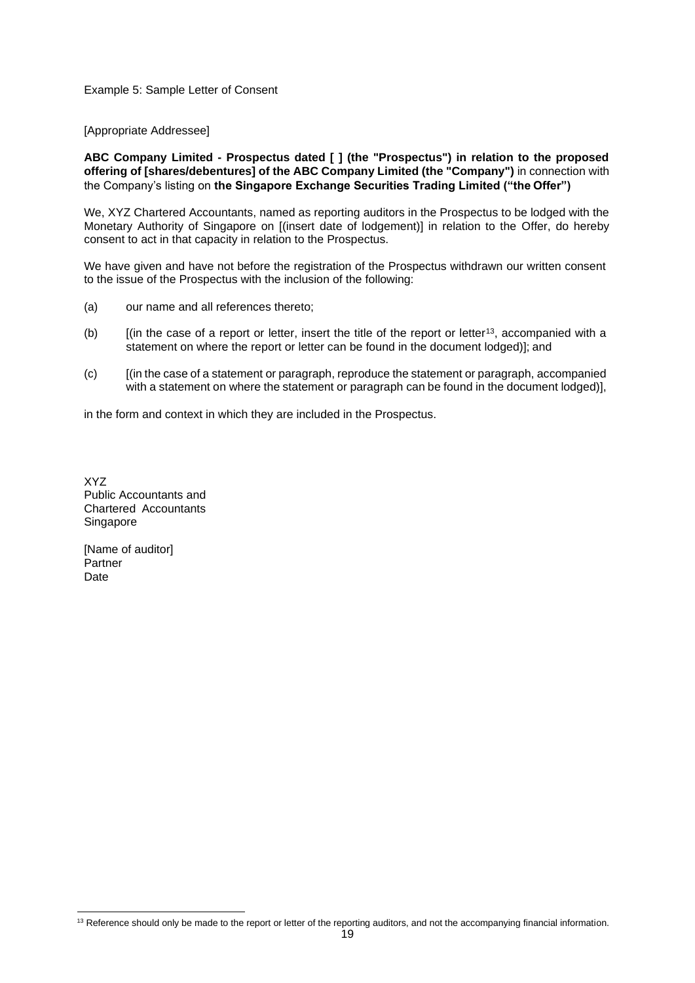#### Example 5: Sample Letter of Consent

[Appropriate Addressee]

**ABC Company Limited - Prospectus dated [ ] (the "Prospectus") in relation to the proposed offering of [shares/debentures] of the ABC Company Limited (the "Company")** in connection with the Company's listing on **the Singapore Exchange Securities Trading Limited ("the Offer")**

We, XYZ Chartered Accountants, named as reporting auditors in the Prospectus to be lodged with the Monetary Authority of Singapore on [(insert date of lodgement)] in relation to the Offer, do hereby consent to act in that capacity in relation to the Prospectus.

We have given and have not before the registration of the Prospectus withdrawn our written consent to the issue of the Prospectus with the inclusion of the following:

- (a) our name and all references thereto;
- (b)  $\int$  [(in the case of a report or letter, insert the title of the report or letter<sup>13</sup>, accompanied with a statement on where the report or letter can be found in the document lodged)]; and
- (c) [(in the case of a statement or paragraph, reproduce the statement or paragraph, accompanied with a statement on where the statement or paragraph can be found in the document lodged)],

in the form and context in which they are included in the Prospectus.

XYZ Public Accountants and Chartered Accountants Singapore

<sup>&</sup>lt;sup>13</sup> Reference should only be made to the report or letter of the reporting auditors, and not the accompanying financial information.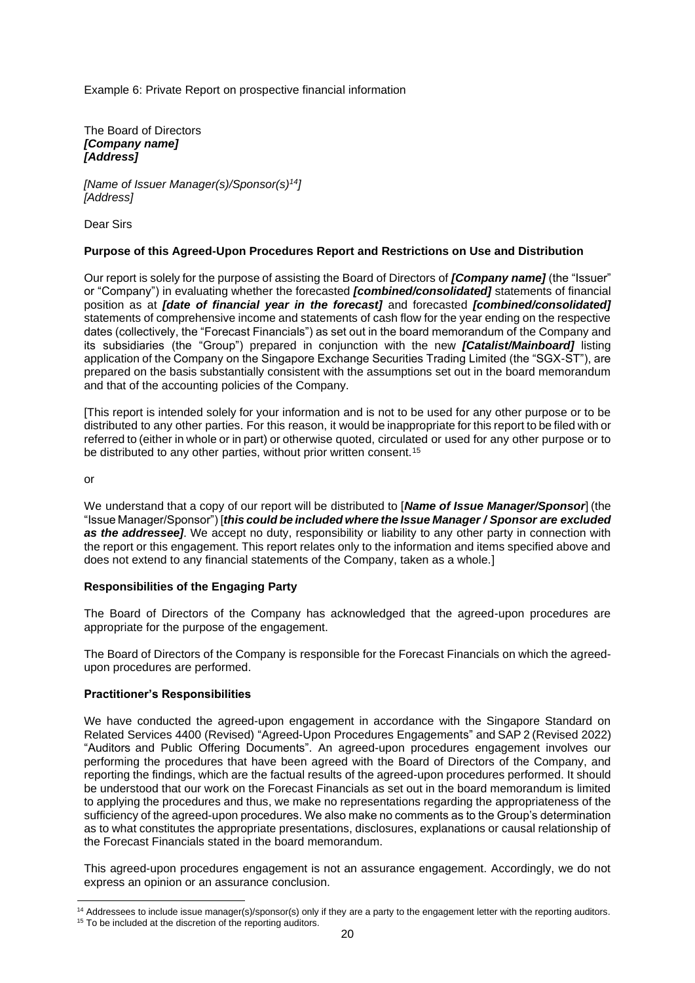Example 6: Private Report on prospective financial information

The Board of Directors *[Company name] [Address]*

*[Name of Issuer Manager(s)/Sponsor(s)<sup>14</sup>] [Address]*

Dear Sirs

#### **Purpose of this Agreed-Upon Procedures Report and Restrictions on Use and Distribution**

Our report is solely for the purpose of assisting the Board of Directors of *[Company name]* (the "Issuer" or "Company") in evaluating whether the forecasted *[combined/consolidated]* statements of financial position as at *[date of financial year in the forecast]* and forecasted *[combined/consolidated]*  statements of comprehensive income and statements of cash flow for the year ending on the respective dates (collectively, the "Forecast Financials") as set out in the board memorandum of the Company and its subsidiaries (the "Group") prepared in conjunction with the new *[Catalist/Mainboard]* listing application of the Company on the Singapore Exchange Securities Trading Limited (the "SGX-ST"), are prepared on the basis substantially consistent with the assumptions set out in the board memorandum and that of the accounting policies of the Company.

[This report is intended solely for your information and is not to be used for any other purpose or to be distributed to any other parties. For this reason, it would be inappropriate for this report to be filed with or referred to (either in whole or in part) or otherwise quoted, circulated or used for any other purpose or to be distributed to any other parties, without prior written consent.<sup>15</sup>

or

We understand that a copy of our report will be distributed to [*Name of Issue Manager/Sponsor*] (the "Issue Manager/Sponsor") [*this could be included where the Issue Manager / Sponsor are excluded as the addressee]*. We accept no duty, responsibility or liability to any other party in connection with the report or this engagement. This report relates only to the information and items specified above and does not extend to any financial statements of the Company, taken as a whole.]

#### **Responsibilities of the Engaging Party**

The Board of Directors of the Company has acknowledged that the agreed-upon procedures are appropriate for the purpose of the engagement.

The Board of Directors of the Company is responsible for the Forecast Financials on which the agreedupon procedures are performed.

#### **Practitioner's Responsibilities**

We have conducted the agreed-upon engagement in accordance with the Singapore Standard on Related Services 4400 (Revised) "Agreed-Upon Procedures Engagements" and SAP 2 (Revised 2022) "Auditors and Public Offering Documents". An agreed-upon procedures engagement involves our performing the procedures that have been agreed with the Board of Directors of the Company, and reporting the findings, which are the factual results of the agreed-upon procedures performed. It should be understood that our work on the Forecast Financials as set out in the board memorandum is limited to applying the procedures and thus, we make no representations regarding the appropriateness of the sufficiency of the agreed-upon procedures. We also make no comments as to the Group's determination as to what constitutes the appropriate presentations, disclosures, explanations or causal relationship of the Forecast Financials stated in the board memorandum.

This agreed-upon procedures engagement is not an assurance engagement. Accordingly, we do not express an opinion or an assurance conclusion.

<sup>&</sup>lt;sup>14</sup> Addressees to include issue manager(s)/sponsor(s) only if they are a party to the engagement letter with the reporting auditors.

<sup>&</sup>lt;sup>15</sup> To be included at the discretion of the reporting auditors.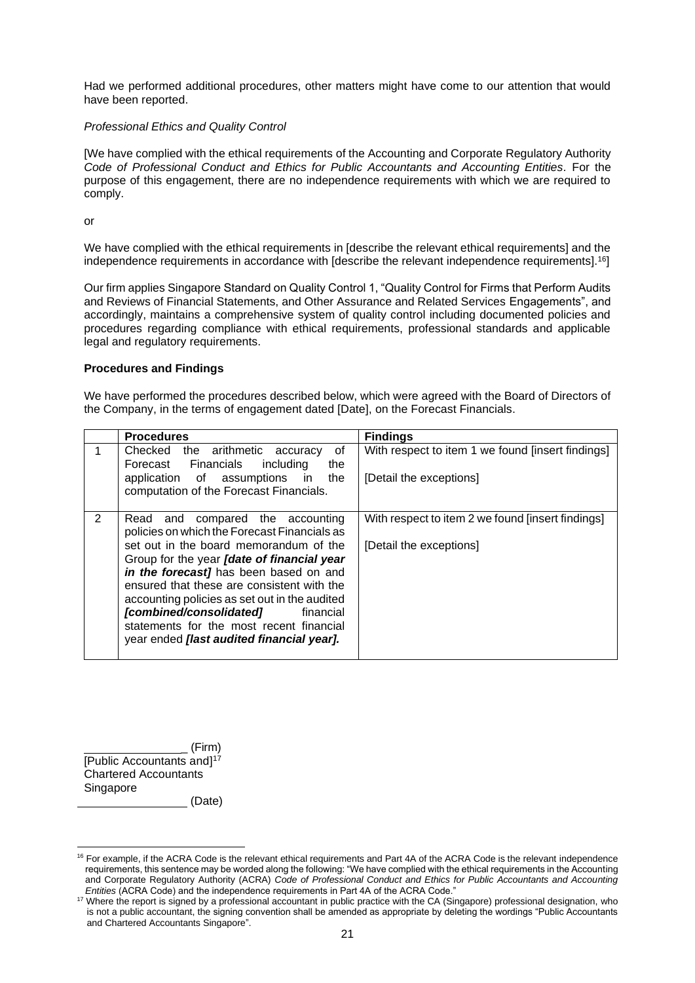Had we performed additional procedures, other matters might have come to our attention that would have been reported.

#### *Professional Ethics and Quality Control*

[We have complied with the ethical requirements of the Accounting and Corporate Regulatory Authority *Code of Professional Conduct and Ethics for Public Accountants and Accounting Entities.* For the purpose of this engagement, there are no independence requirements with which we are required to comply.

or

We have complied with the ethical requirements in [describe the relevant ethical requirements] and the independence requirements in accordance with [describe the relevant independence requirements].<sup>16</sup>]

Our firm applies Singapore Standard on Quality Control 1, "Quality Control for Firms that Perform Audits and Reviews of Financial Statements, and Other Assurance and Related Services Engagements", and accordingly, maintains a comprehensive system of quality control including documented policies and procedures regarding compliance with ethical requirements, professional standards and applicable legal and regulatory requirements.

#### **Procedures and Findings**

We have performed the procedures described below, which were agreed with the Board of Directors of the Company, in the terms of engagement dated [Date], on the Forecast Financials.

|                                                                                       | <b>Procedures</b>                                                                   | <b>Findings</b>                                   |
|---------------------------------------------------------------------------------------|-------------------------------------------------------------------------------------|---------------------------------------------------|
|                                                                                       | Checked the arithmetic accuracy<br>οf<br>Forecast Financials<br>including<br>the    | With respect to item 1 we found [insert findings] |
|                                                                                       | application of assumptions<br>the<br>in.<br>computation of the Forecast Financials. | [Detail the exceptions]                           |
| 2                                                                                     | compared the accounting<br>Read and<br>policies on which the Forecast Financials as | With respect to item 2 we found [insert findings] |
|                                                                                       | set out in the board memorandum of the                                              | [Detail the exceptions]                           |
|                                                                                       | Group for the year <i>[date of financial year</i>                                   |                                                   |
|                                                                                       | in the forecast] has been based on and                                              |                                                   |
|                                                                                       | ensured that these are consistent with the                                          |                                                   |
| accounting policies as set out in the audited<br>[combined/consolidated]<br>financial |                                                                                     |                                                   |
|                                                                                       | statements for the most recent financial                                            |                                                   |
|                                                                                       | year ended [last audited financial year].                                           |                                                   |
|                                                                                       |                                                                                     |                                                   |

\_ (Firm) [Public Accountants and]<sup>17</sup> Chartered Accountants Singapore

(Date)

<sup>&</sup>lt;sup>16</sup> For example, if the ACRA Code is the relevant ethical requirements and Part 4A of the ACRA Code is the relevant independence requirements, this sentence may be worded along the following: "We have complied with the ethical requirements in the Accounting and Corporate Regulatory Authority (ACRA) *Code of Professional Conduct and Ethics for Public Accountants and Accounting Entities* (ACRA Code) and the independence requirements in Part 4A of the ACRA Code."

<sup>&</sup>lt;sup>17</sup> Where the report is signed by a professional accountant in public practice with the CA (Singapore) professional designation, who is not a public accountant, the signing convention shall be amended as appropriate by deleting the wordings "Public Accountants and Chartered Accountants Singapore".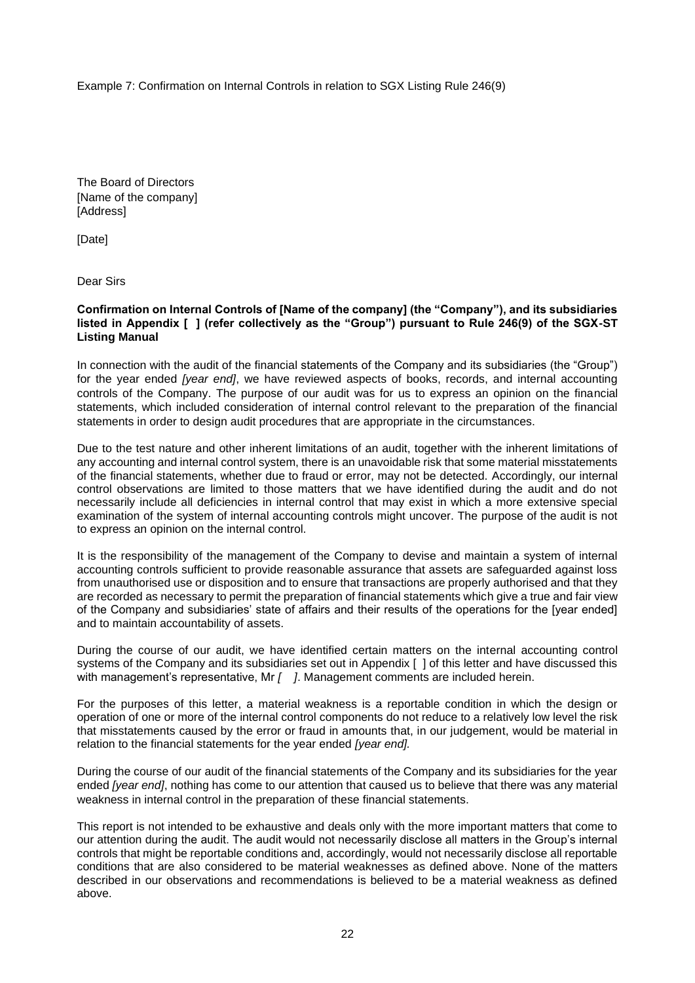Example 7: Confirmation on Internal Controls in relation to SGX Listing Rule 246(9)

The Board of Directors [Name of the company] [Address]

[Date]

Dear Sirs

**Confirmation on Internal Controls of [Name of the company] (the "Company"), and its subsidiaries listed in Appendix [ ] (refer collectively as the "Group") pursuant to Rule 246(9) of the SGX-ST Listing Manual** 

In connection with the audit of the financial statements of the Company and its subsidiaries (the "Group") for the year ended *[year end]*, we have reviewed aspects of books, records, and internal accounting controls of the Company. The purpose of our audit was for us to express an opinion on the financial statements, which included consideration of internal control relevant to the preparation of the financial statements in order to design audit procedures that are appropriate in the circumstances.

Due to the test nature and other inherent limitations of an audit, together with the inherent limitations of any accounting and internal control system, there is an unavoidable risk that some material misstatements of the financial statements, whether due to fraud or error, may not be detected. Accordingly, our internal control observations are limited to those matters that we have identified during the audit and do not necessarily include all deficiencies in internal control that may exist in which a more extensive special examination of the system of internal accounting controls might uncover. The purpose of the audit is not to express an opinion on the internal control.

It is the responsibility of the management of the Company to devise and maintain a system of internal accounting controls sufficient to provide reasonable assurance that assets are safeguarded against loss from unauthorised use or disposition and to ensure that transactions are properly authorised and that they are recorded as necessary to permit the preparation of financial statements which give a true and fair view of the Company and subsidiaries' state of affairs and their results of the operations for the [year ended] and to maintain accountability of assets.

During the course of our audit, we have identified certain matters on the internal accounting control systems of the Company and its subsidiaries set out in Appendix [ ] of this letter and have discussed this with management's representative, Mr *[ ]*. Management comments are included herein.

For the purposes of this letter, a material weakness is a reportable condition in which the design or operation of one or more of the internal control components do not reduce to a relatively low level the risk that misstatements caused by the error or fraud in amounts that, in our judgement, would be material in relation to the financial statements for the year ended *[year end].*

During the course of our audit of the financial statements of the Company and its subsidiaries for the year ended *[year end]*, nothing has come to our attention that caused us to believe that there was any material weakness in internal control in the preparation of these financial statements.

This report is not intended to be exhaustive and deals only with the more important matters that come to our attention during the audit. The audit would not necessarily disclose all matters in the Group's internal controls that might be reportable conditions and, accordingly, would not necessarily disclose all reportable conditions that are also considered to be material weaknesses as defined above. None of the matters described in our observations and recommendations is believed to be a material weakness as defined above.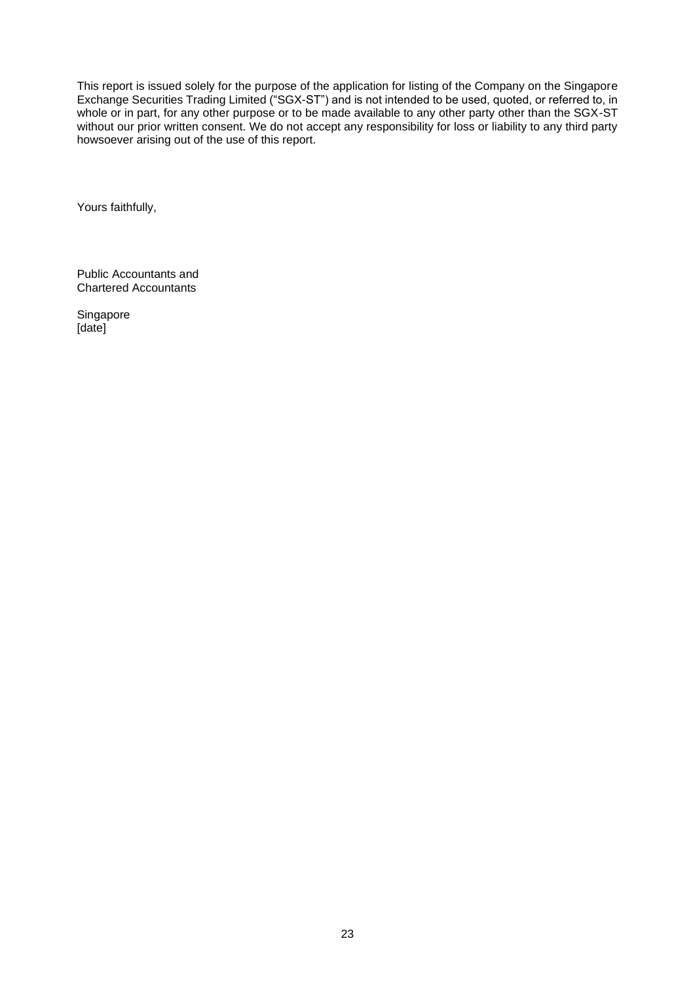This report is issued solely for the purpose of the application for listing of the Company on the Singapore Exchange Securities Trading Limited ("SGX-ST") and is not intended to be used, quoted, or referred to, in whole or in part, for any other purpose or to be made available to any other party other than the SGX-ST without our prior written consent. We do not accept any responsibility for loss or liability to any third party howsoever arising out of the use of this report.

Yours faithfully,

Public Accountants and Chartered Accountants

Singapore [date]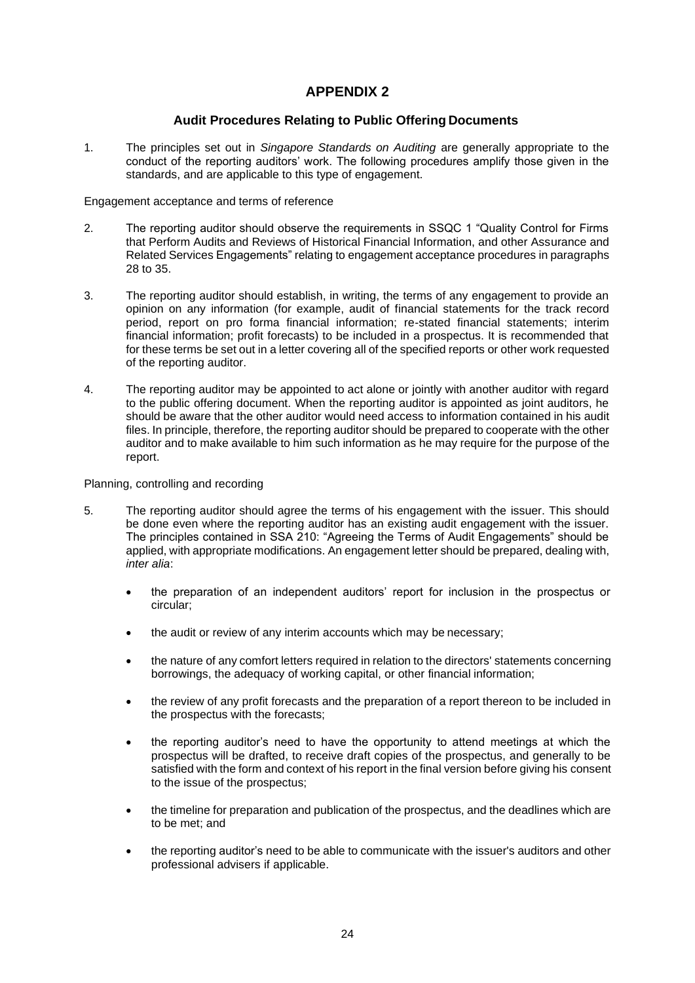## **APPENDIX 2**

#### **Audit Procedures Relating to Public Offering Documents**

1. The principles set out in *Singapore Standards on Auditing* are generally appropriate to the conduct of the reporting auditors' work. The following procedures amplify those given in the standards, and are applicable to this type of engagement.

Engagement acceptance and terms of reference

- 2. The reporting auditor should observe the requirements in SSQC 1 "Quality Control for Firms that Perform Audits and Reviews of Historical Financial Information, and other Assurance and Related Services Engagements" relating to engagement acceptance procedures in paragraphs 28 to 35.
- 3. The reporting auditor should establish, in writing, the terms of any engagement to provide an opinion on any information (for example, audit of financial statements for the track record period, report on pro forma financial information; re-stated financial statements; interim financial information; profit forecasts) to be included in a prospectus. It is recommended that for these terms be set out in a letter covering all of the specified reports or other work requested of the reporting auditor.
- 4. The reporting auditor may be appointed to act alone or jointly with another auditor with regard to the public offering document. When the reporting auditor is appointed as joint auditors, he should be aware that the other auditor would need access to information contained in his audit files. In principle, therefore, the reporting auditor should be prepared to cooperate with the other auditor and to make available to him such information as he may require for the purpose of the report.

#### Planning, controlling and recording

- 5. The reporting auditor should agree the terms of his engagement with the issuer. This should be done even where the reporting auditor has an existing audit engagement with the issuer. The principles contained in SSA 210: "Agreeing the Terms of Audit Engagements" should be applied, with appropriate modifications. An engagement letter should be prepared, dealing with, *inter alia*:
	- the preparation of an independent auditors' report for inclusion in the prospectus or circular;
	- the audit or review of any interim accounts which may be necessary;
	- the nature of any comfort letters required in relation to the directors' statements concerning borrowings, the adequacy of working capital, or other financial information;
	- the review of any profit forecasts and the preparation of a report thereon to be included in the prospectus with the forecasts;
	- the reporting auditor's need to have the opportunity to attend meetings at which the prospectus will be drafted, to receive draft copies of the prospectus, and generally to be satisfied with the form and context of his report in the final version before giving his consent to the issue of the prospectus;
	- the timeline for preparation and publication of the prospectus, and the deadlines which are to be met; and
	- the reporting auditor's need to be able to communicate with the issuer's auditors and other professional advisers if applicable.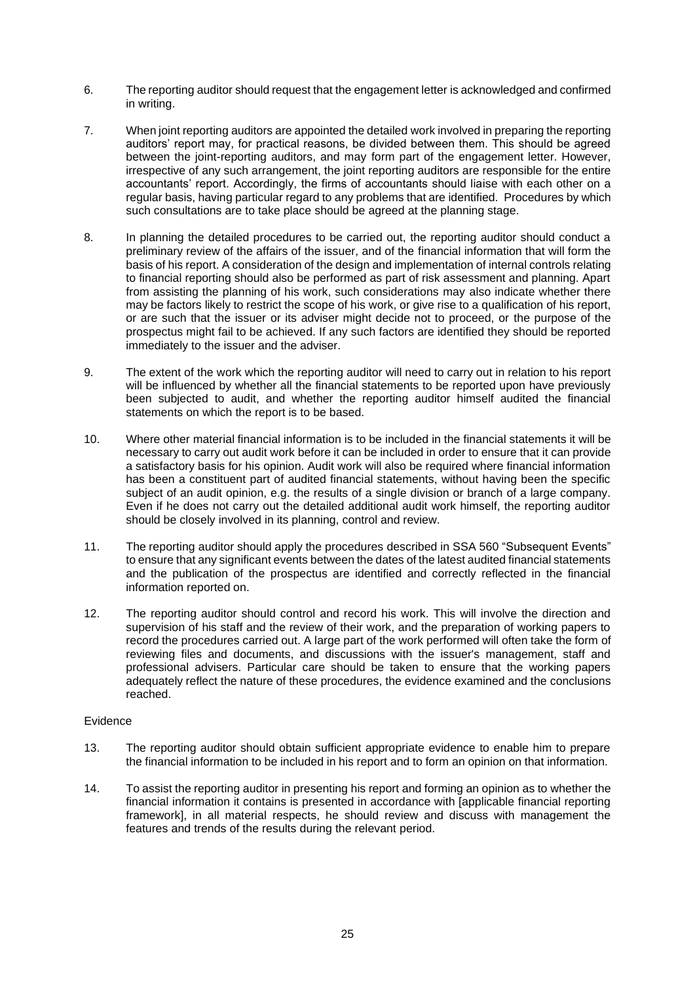- 6. The reporting auditor should request that the engagement letter is acknowledged and confirmed in writing.
- 7. When joint reporting auditors are appointed the detailed work involved in preparing the reporting auditors' report may, for practical reasons, be divided between them. This should be agreed between the joint-reporting auditors, and may form part of the engagement letter. However, irrespective of any such arrangement, the joint reporting auditors are responsible for the entire accountants' report. Accordingly, the firms of accountants should liaise with each other on a regular basis, having particular regard to any problems that are identified. Procedures by which such consultations are to take place should be agreed at the planning stage.
- 8. In planning the detailed procedures to be carried out, the reporting auditor should conduct a preliminary review of the affairs of the issuer, and of the financial information that will form the basis of his report. A consideration of the design and implementation of internal controls relating to financial reporting should also be performed as part of risk assessment and planning. Apart from assisting the planning of his work, such considerations may also indicate whether there may be factors likely to restrict the scope of his work, or give rise to a qualification of his report, or are such that the issuer or its adviser might decide not to proceed, or the purpose of the prospectus might fail to be achieved. If any such factors are identified they should be reported immediately to the issuer and the adviser.
- 9. The extent of the work which the reporting auditor will need to carry out in relation to his report will be influenced by whether all the financial statements to be reported upon have previously been subjected to audit, and whether the reporting auditor himself audited the financial statements on which the report is to be based.
- 10. Where other material financial information is to be included in the financial statements it will be necessary to carry out audit work before it can be included in order to ensure that it can provide a satisfactory basis for his opinion. Audit work will also be required where financial information has been a constituent part of audited financial statements, without having been the specific subject of an audit opinion, e.g. the results of a single division or branch of a large company. Even if he does not carry out the detailed additional audit work himself, the reporting auditor should be closely involved in its planning, control and review.
- 11. The reporting auditor should apply the procedures described in SSA 560 "Subsequent Events" to ensure that any significant events between the dates of the latest audited financial statements and the publication of the prospectus are identified and correctly reflected in the financial information reported on.
- 12. The reporting auditor should control and record his work. This will involve the direction and supervision of his staff and the review of their work, and the preparation of working papers to record the procedures carried out. A large part of the work performed will often take the form of reviewing files and documents, and discussions with the issuer's management, staff and professional advisers. Particular care should be taken to ensure that the working papers adequately reflect the nature of these procedures, the evidence examined and the conclusions reached.

#### Evidence

- 13. The reporting auditor should obtain sufficient appropriate evidence to enable him to prepare the financial information to be included in his report and to form an opinion on that information.
- 14. To assist the reporting auditor in presenting his report and forming an opinion as to whether the financial information it contains is presented in accordance with [applicable financial reporting framework], in all material respects, he should review and discuss with management the features and trends of the results during the relevant period.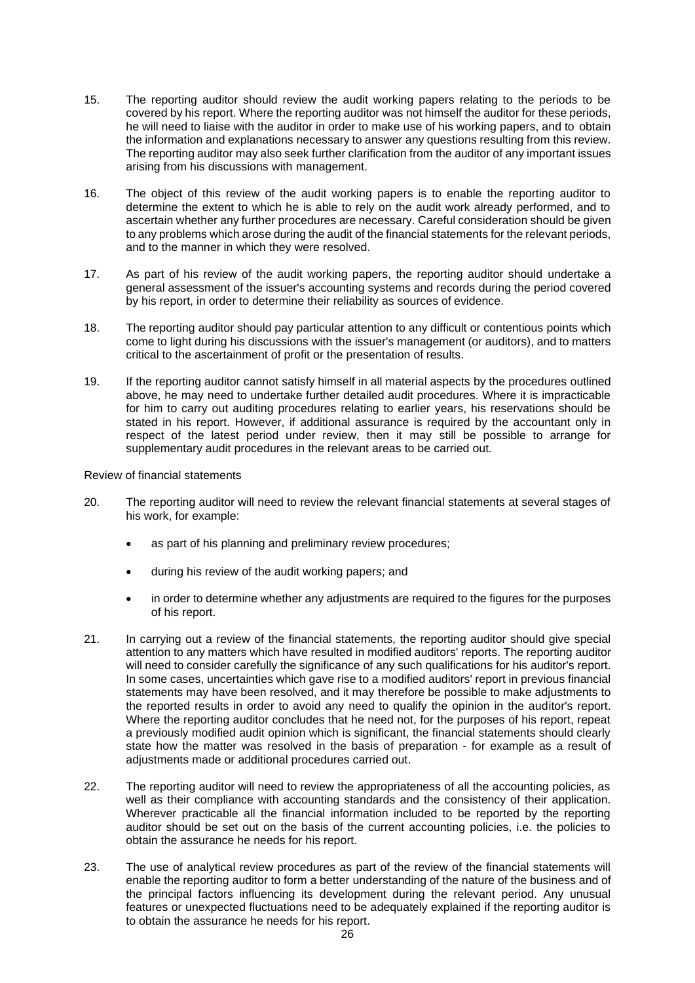- 15. The reporting auditor should review the audit working papers relating to the periods to be covered by his report. Where the reporting auditor was not himself the auditor for these periods, he will need to liaise with the auditor in order to make use of his working papers, and to obtain the information and explanations necessary to answer any questions resulting from this review. The reporting auditor may also seek further clarification from the auditor of any important issues arising from his discussions with management.
- 16. The object of this review of the audit working papers is to enable the reporting auditor to determine the extent to which he is able to rely on the audit work already performed, and to ascertain whether any further procedures are necessary. Careful consideration should be given to any problems which arose during the audit of the financial statements for the relevant periods, and to the manner in which they were resolved.
- 17. As part of his review of the audit working papers, the reporting auditor should undertake a general assessment of the issuer's accounting systems and records during the period covered by his report, in order to determine their reliability as sources of evidence.
- 18. The reporting auditor should pay particular attention to any difficult or contentious points which come to light during his discussions with the issuer's management (or auditors), and to matters critical to the ascertainment of profit or the presentation of results.
- 19. If the reporting auditor cannot satisfy himself in all material aspects by the procedures outlined above, he may need to undertake further detailed audit procedures. Where it is impracticable for him to carry out auditing procedures relating to earlier years, his reservations should be stated in his report. However, if additional assurance is required by the accountant only in respect of the latest period under review, then it may still be possible to arrange for supplementary audit procedures in the relevant areas to be carried out.

Review of financial statements

- 20. The reporting auditor will need to review the relevant financial statements at several stages of his work, for example:
	- as part of his planning and preliminary review procedures;
	- during his review of the audit working papers; and
	- in order to determine whether any adjustments are required to the figures for the purposes of his report.
- 21. In carrying out a review of the financial statements, the reporting auditor should give special attention to any matters which have resulted in modified auditors' reports. The reporting auditor will need to consider carefully the significance of any such qualifications for his auditor's report. In some cases, uncertainties which gave rise to a modified auditors' report in previous financial statements may have been resolved, and it may therefore be possible to make adjustments to the reported results in order to avoid any need to qualify the opinion in the auditor's report. Where the reporting auditor concludes that he need not, for the purposes of his report, repeat a previously modified audit opinion which is significant, the financial statements should clearly state how the matter was resolved in the basis of preparation - for example as a result of adjustments made or additional procedures carried out.
- 22. The reporting auditor will need to review the appropriateness of all the accounting policies, as well as their compliance with accounting standards and the consistency of their application. Wherever practicable all the financial information included to be reported by the reporting auditor should be set out on the basis of the current accounting policies, i.e. the policies to obtain the assurance he needs for his report.
- 23. The use of analytical review procedures as part of the review of the financial statements will enable the reporting auditor to form a better understanding of the nature of the business and of the principal factors influencing its development during the relevant period. Any unusual features or unexpected fluctuations need to be adequately explained if the reporting auditor is to obtain the assurance he needs for his report.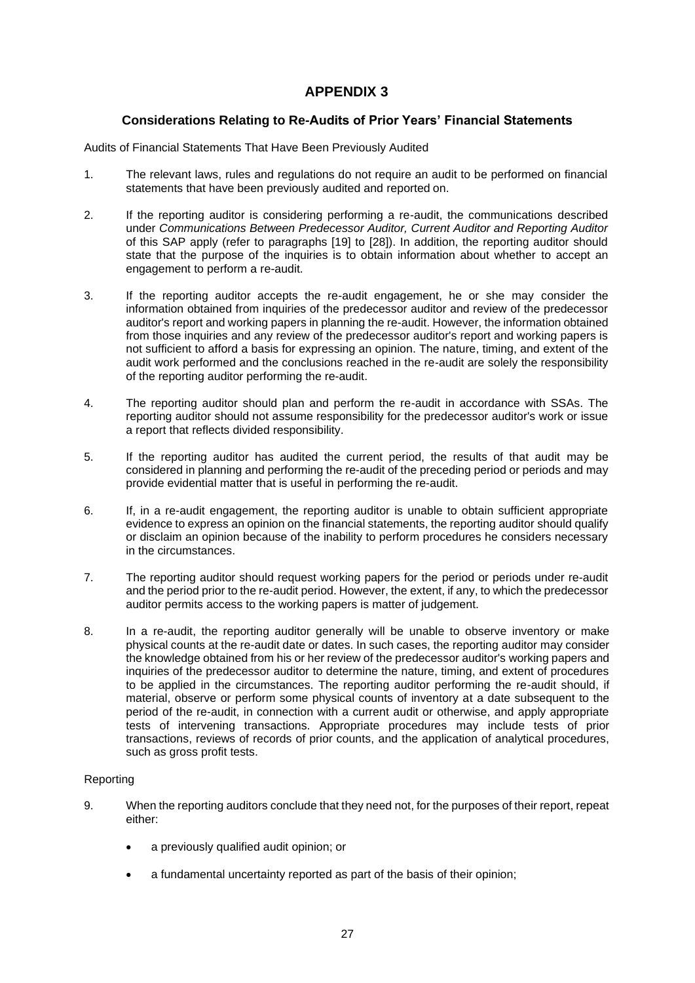## **APPENDIX 3**

## **Considerations Relating to Re-Audits of Prior Years' Financial Statements**

Audits of Financial Statements That Have Been Previously Audited

- 1. The relevant laws, rules and regulations do not require an audit to be performed on financial statements that have been previously audited and reported on.
- 2. If the reporting auditor is considering performing a re-audit, the communications described under *Communications Between Predecessor Auditor, Current Auditor and Reporting Auditor*  of this SAP apply (refer to paragraphs [19] to [28]). In addition, the reporting auditor should state that the purpose of the inquiries is to obtain information about whether to accept an engagement to perform a re-audit.
- 3. If the reporting auditor accepts the re-audit engagement, he or she may consider the information obtained from inquiries of the predecessor auditor and review of the predecessor auditor's report and working papers in planning the re-audit. However, the information obtained from those inquiries and any review of the predecessor auditor's report and working papers is not sufficient to afford a basis for expressing an opinion. The nature, timing, and extent of the audit work performed and the conclusions reached in the re-audit are solely the responsibility of the reporting auditor performing the re-audit.
- 4. The reporting auditor should plan and perform the re-audit in accordance with SSAs. The reporting auditor should not assume responsibility for the predecessor auditor's work or issue a report that reflects divided responsibility.
- 5. If the reporting auditor has audited the current period, the results of that audit may be considered in planning and performing the re-audit of the preceding period or periods and may provide evidential matter that is useful in performing the re-audit.
- 6. If, in a re-audit engagement, the reporting auditor is unable to obtain sufficient appropriate evidence to express an opinion on the financial statements, the reporting auditor should qualify or disclaim an opinion because of the inability to perform procedures he considers necessary in the circumstances.
- 7. The reporting auditor should request working papers for the period or periods under re-audit and the period prior to the re-audit period. However, the extent, if any, to which the predecessor auditor permits access to the working papers is matter of judgement.
- 8. In a re-audit, the reporting auditor generally will be unable to observe inventory or make physical counts at the re-audit date or dates. In such cases, the reporting auditor may consider the knowledge obtained from his or her review of the predecessor auditor's working papers and inquiries of the predecessor auditor to determine the nature, timing, and extent of procedures to be applied in the circumstances. The reporting auditor performing the re-audit should, if material, observe or perform some physical counts of inventory at a date subsequent to the period of the re-audit, in connection with a current audit or otherwise, and apply appropriate tests of intervening transactions. Appropriate procedures may include tests of prior transactions, reviews of records of prior counts, and the application of analytical procedures, such as gross profit tests.

#### Reporting

- 9. When the reporting auditors conclude that they need not, for the purposes of their report, repeat either:
	- a previously qualified audit opinion; or
	- a fundamental uncertainty reported as part of the basis of their opinion;